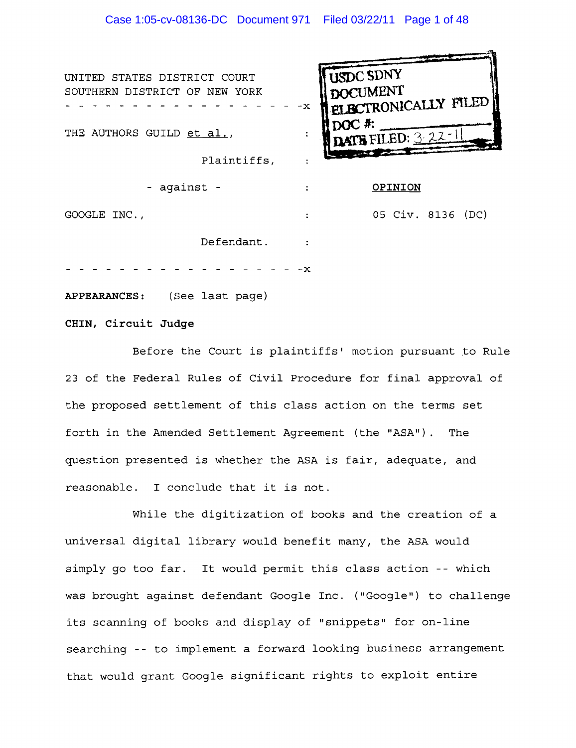**USDC SDNY** UNITED STATES DISTRICT COURT **DOCUMENT** SOUTHERN DISTRICT OF NEW YORK<br>-----------------------**CONICALLY FILED** THE AUTHORS GUILD et al.,  $\ddot{\cdot}$ Plaintiffs,  $\ddot{\cdot}$ - against - **OPINION**  05 Civ. 8136 (DC) GOOGLE INC.,  $\bullet$ Defendant.

**APPEARANCES** : (See last page)

**CHIN, Circuit Judge** 

Before the Court is plaintiffs' motion pursuant to Rule 23 of the Federal Rules of Civil Procedure for final approval of the proposed settlement of this class action on the terms set forth in the Amended Settlement Agreement (the "ASA"). The question presented is whether the ASA is fair, adequate, and reasonable. I conclude that it is not.

While the digitization of books and the creation of a universal digital library would benefit many, the ASA would simply go too far. It would permit this class action -- which was brought against defendant Google Inc. ("Google") to challenge its scanning of books and display of "snippets" for on-line searching -- to implement a forward-looking business arrangement that would grant Google significant rights to exploit entire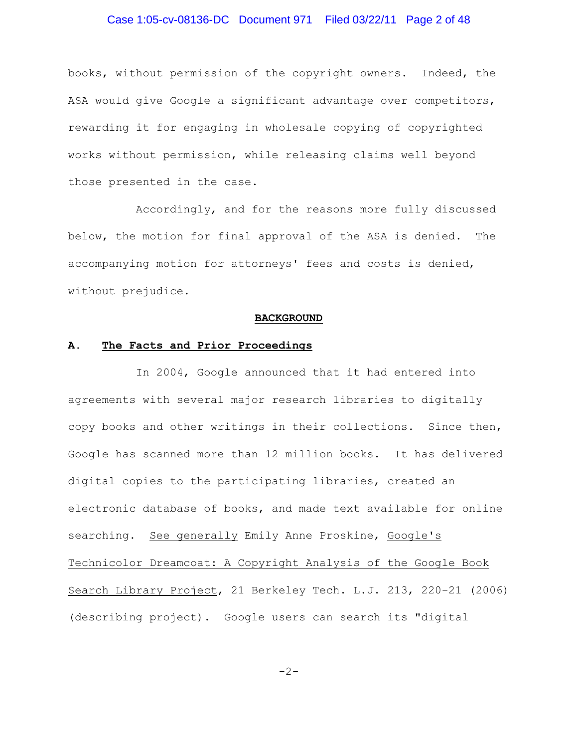# Case 1:05-cv-08136-DC Document 971 Filed 03/22/11 Page 2 of 48

books, without permission of the copyright owners. Indeed, the ASA would give Google a significant advantage over competitors, rewarding it for engaging in wholesale copying of copyrighted works without permission, while releasing claims well beyond those presented in the case.

Accordingly, and for the reasons more fully discussed below, the motion for final approval of the ASA is denied. The accompanying motion for attorneys' fees and costs is denied, without prejudice.

#### **BACKGROUND**

## **A. The Facts and Prior Proceedings**

In 2004, Google announced that it had entered into agreements with several major research libraries to digitally copy books and other writings in their collections. Since then, Google has scanned more than 12 million books. It has delivered digital copies to the participating libraries, created an electronic database of books, and made text available for online searching. See generally Emily Anne Proskine, Google's Technicolor Dreamcoat: A Copyright Analysis of the Google Book Search Library Project, 21 Berkeley Tech. L.J. 213, 220-21 (2006) (describing project). Google users can search its "digital

$$
-2-
$$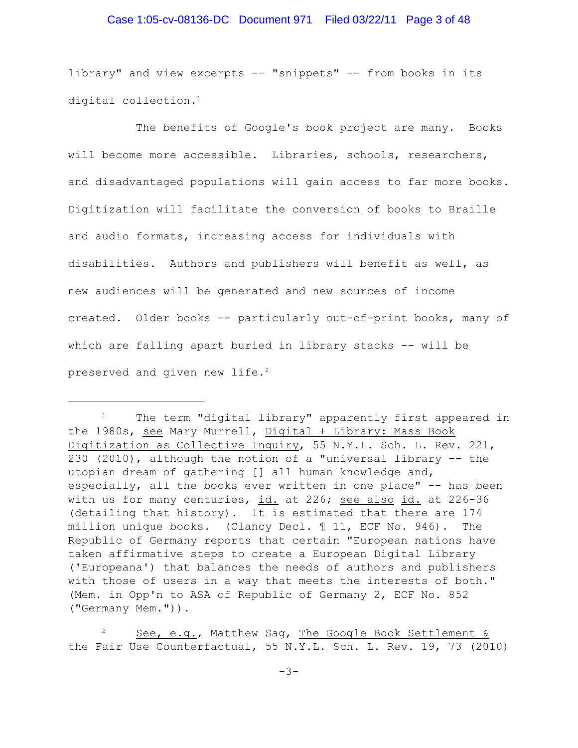### Case 1:05-cv-08136-DC Document 971 Filed 03/22/11 Page 3 of 48

library" and view excerpts -- "snippets" -- from books in its digital collection. 1

The benefits of Google's book project are many. Books will become more accessible. Libraries, schools, researchers, and disadvantaged populations will gain access to far more books. Digitization will facilitate the conversion of books to Braille and audio formats, increasing access for individuals with disabilities. Authors and publishers will benefit as well, as new audiences will be generated and new sources of income created. Older books -- particularly out-of-print books, many of which are falling apart buried in library stacks -- will be preserved and given new life.<sup>2</sup>

 $1$  The term "digital library" apparently first appeared in the 1980s, see Mary Murrell, Digital + Library: Mass Book Digitization as Collective Inquiry, 55 N.Y.L. Sch. L. Rev. 221, 230 (2010), although the notion of a "universal library -- the utopian dream of gathering [] all human knowledge and, especially, all the books ever written in one place" -- has been with us for many centuries, id. at 226; see also id. at 226-36 (detailing that history). It is estimated that there are 174 million unique books. (Clancy Decl. ¶ 11, ECF No. 946). The Republic of Germany reports that certain "European nations have taken affirmative steps to create a European Digital Library ('Europeana') that balances the needs of authors and publishers with those of users in a way that meets the interests of both." (Mem. in Opp'n to ASA of Republic of Germany 2, ECF No. 852 ("Germany Mem.")).

 $\frac{1}{2}$  See, e.g., Matthew Sag, The Google Book Settlement & the Fair Use Counterfactual, 55 N.Y.L. Sch. L. Rev. 19, 73 (2010)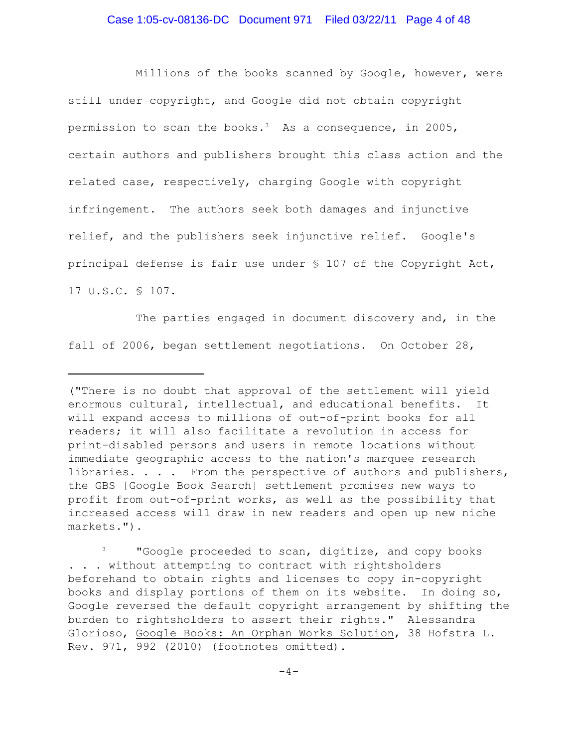Millions of the books scanned by Google, however, were still under copyright, and Google did not obtain copyright permission to scan the books.<sup>3</sup> As a consequence, in 2005, certain authors and publishers brought this class action and the related case, respectively, charging Google with copyright infringement. The authors seek both damages and injunctive relief, and the publishers seek injunctive relief. Google's principal defense is fair use under § 107 of the Copyright Act, 17 U.S.C. § 107.

The parties engaged in document discovery and, in the fall of 2006, began settlement negotiations. On October 28,

<sup>(&</sup>quot;There is no doubt that approval of the settlement will yield enormous cultural, intellectual, and educational benefits. It will expand access to millions of out-of-print books for all readers; it will also facilitate a revolution in access for print-disabled persons and users in remote locations without immediate geographic access to the nation's marquee research libraries. . . . From the perspective of authors and publishers, the GBS [Google Book Search] settlement promises new ways to profit from out-of-print works, as well as the possibility that increased access will draw in new readers and open up new niche markets.").

<sup>&</sup>lt;sup>3</sup> "Google proceeded to scan, digitize, and copy books . . . without attempting to contract with rightsholders beforehand to obtain rights and licenses to copy in-copyright books and display portions of them on its website. In doing so, Google reversed the default copyright arrangement by shifting the burden to rightsholders to assert their rights." Alessandra Glorioso, Google Books: An Orphan Works Solution, 38 Hofstra L. Rev. 971, 992 (2010) (footnotes omitted).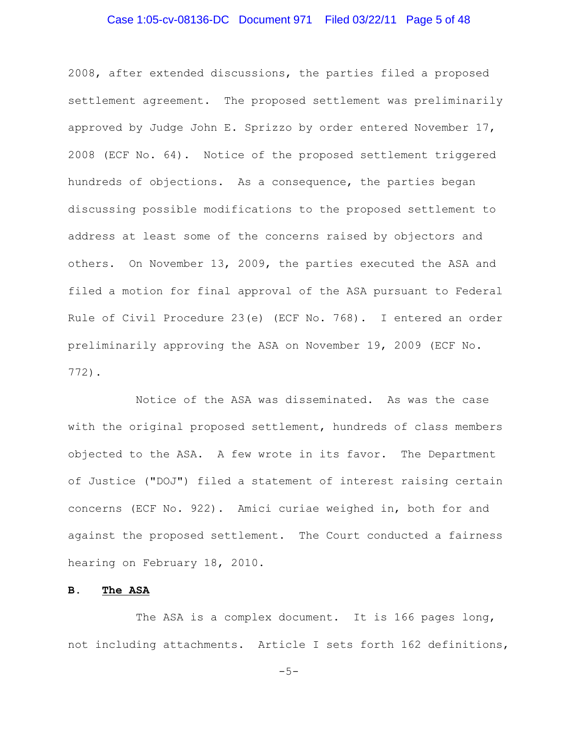# Case 1:05-cv-08136-DC Document 971 Filed 03/22/11 Page 5 of 48

2008, after extended discussions, the parties filed a proposed settlement agreement. The proposed settlement was preliminarily approved by Judge John E. Sprizzo by order entered November 17, 2008 (ECF No. 64). Notice of the proposed settlement triggered hundreds of objections. As a consequence, the parties began discussing possible modifications to the proposed settlement to address at least some of the concerns raised by objectors and others. On November 13, 2009, the parties executed the ASA and filed a motion for final approval of the ASA pursuant to Federal Rule of Civil Procedure 23(e) (ECF No. 768). I entered an order preliminarily approving the ASA on November 19, 2009 (ECF No. 772).

Notice of the ASA was disseminated. As was the case with the original proposed settlement, hundreds of class members objected to the ASA. A few wrote in its favor. The Department of Justice ("DOJ") filed a statement of interest raising certain concerns (ECF No. 922). Amici curiae weighed in, both for and against the proposed settlement. The Court conducted a fairness hearing on February 18, 2010.

#### **B. The ASA**

The ASA is a complex document. It is 166 pages long, not including attachments. Article I sets forth 162 definitions,

 $-5-$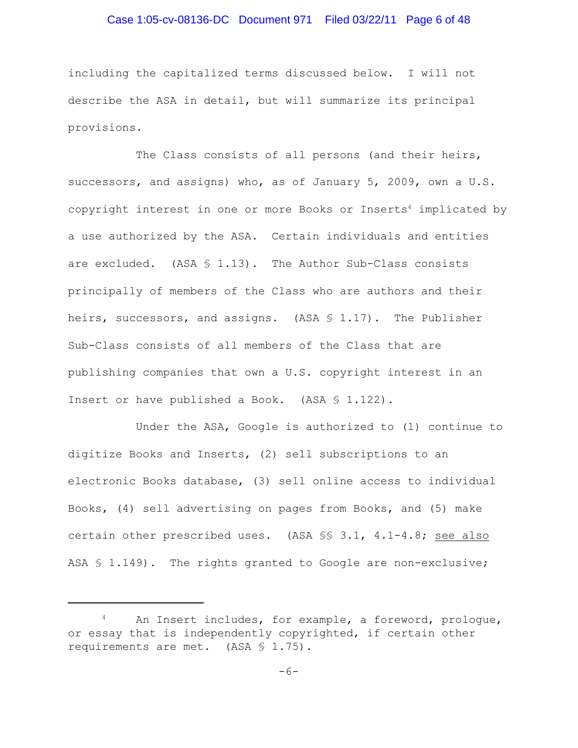### Case 1:05-cv-08136-DC Document 971 Filed 03/22/11 Page 6 of 48

including the capitalized terms discussed below. I will not describe the ASA in detail, but will summarize its principal provisions.

The Class consists of all persons (and their heirs, successors, and assigns) who, as of January 5, 2009, own a U.S. copyright interest in one or more Books or Inserts<sup>4</sup> implicated by a use authorized by the ASA. Certain individuals and entities are excluded. (ASA  $\frac{1}{3}$  1.13). The Author Sub-Class consists principally of members of the Class who are authors and their heirs, successors, and assigns. (ASA  $\S$  1.17). The Publisher Sub-Class consists of all members of the Class that are publishing companies that own a U.S. copyright interest in an Insert or have published a Book. (ASA § 1.122).

Under the ASA, Google is authorized to (1) continue to digitize Books and Inserts, (2) sell subscriptions to an electronic Books database, (3) sell online access to individual Books, (4) sell advertising on pages from Books, and (5) make certain other prescribed uses. (ASA §§ 3.1, 4.1-4.8; see also ASA § 1.149). The rights granted to Google are non-exclusive;

An Insert includes, for example, a foreword, prologue, or essay that is independently copyrighted, if certain other requirements are met. (ASA § 1.75).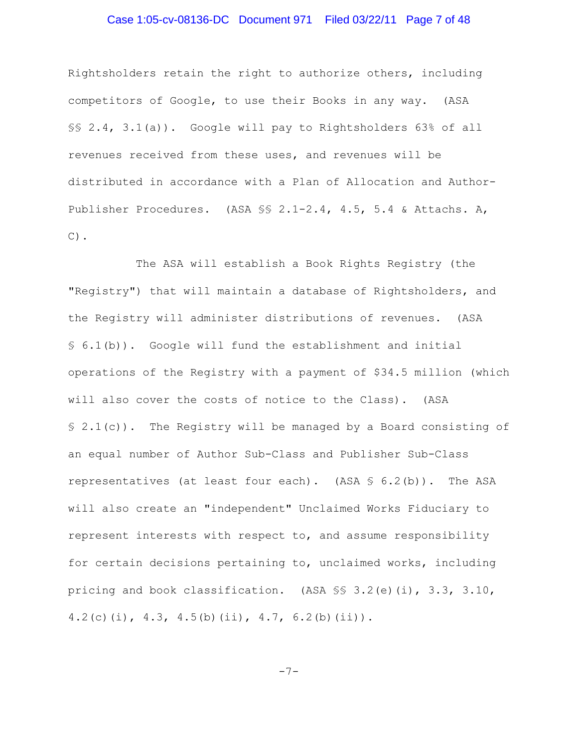### Case 1:05-cv-08136-DC Document 971 Filed 03/22/11 Page 7 of 48

Rightsholders retain the right to authorize others, including competitors of Google, to use their Books in any way. (ASA §§ 2.4, 3.1(a)). Google will pay to Rightsholders 63% of all revenues received from these uses, and revenues will be distributed in accordance with a Plan of Allocation and Author-Publisher Procedures. (ASA §§ 2.1-2.4, 4.5, 5.4 & Attachs. A,  $C)$ .

The ASA will establish a Book Rights Registry (the "Registry") that will maintain a database of Rightsholders, and the Registry will administer distributions of revenues. (ASA § 6.1(b)). Google will fund the establishment and initial operations of the Registry with a payment of \$34.5 million (which will also cover the costs of notice to the Class). (ASA  $\S$  2.1(c)). The Registry will be managed by a Board consisting of an equal number of Author Sub-Class and Publisher Sub-Class representatives (at least four each). (ASA  $\frac{1}{5}$  6.2(b)). The ASA will also create an "independent" Unclaimed Works Fiduciary to represent interests with respect to, and assume responsibility for certain decisions pertaining to, unclaimed works, including pricing and book classification. (ASA §§ 3.2(e)(i), 3.3, 3.10, 4.2(c)(i), 4.3, 4.5(b)(ii), 4.7, 6.2(b)(ii)).

-7-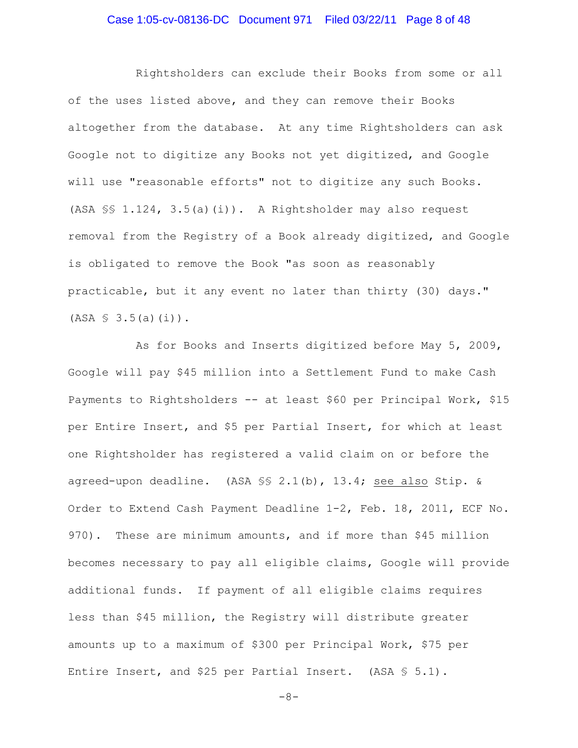# Case 1:05-cv-08136-DC Document 971 Filed 03/22/11 Page 8 of 48

Rightsholders can exclude their Books from some or all of the uses listed above, and they can remove their Books altogether from the database. At any time Rightsholders can ask Google not to digitize any Books not yet digitized, and Google will use "reasonable efforts" not to digitize any such Books. (ASA §§ 1.124, 3.5(a)(i)). A Rightsholder may also request removal from the Registry of a Book already digitized, and Google is obligated to remove the Book "as soon as reasonably practicable, but it any event no later than thirty (30) days."  $(ASA \S 3.5(a)(i))$ .

As for Books and Inserts digitized before May 5, 2009, Google will pay \$45 million into a Settlement Fund to make Cash Payments to Rightsholders -- at least \$60 per Principal Work, \$15 per Entire Insert, and \$5 per Partial Insert, for which at least one Rightsholder has registered a valid claim on or before the agreed-upon deadline. (ASA §§ 2.1(b), 13.4; see also Stip. & Order to Extend Cash Payment Deadline 1-2, Feb. 18, 2011, ECF No. 970). These are minimum amounts, and if more than \$45 million becomes necessary to pay all eligible claims, Google will provide additional funds. If payment of all eligible claims requires less than \$45 million, the Registry will distribute greater amounts up to a maximum of \$300 per Principal Work, \$75 per Entire Insert, and \$25 per Partial Insert. (ASA § 5.1).

-8-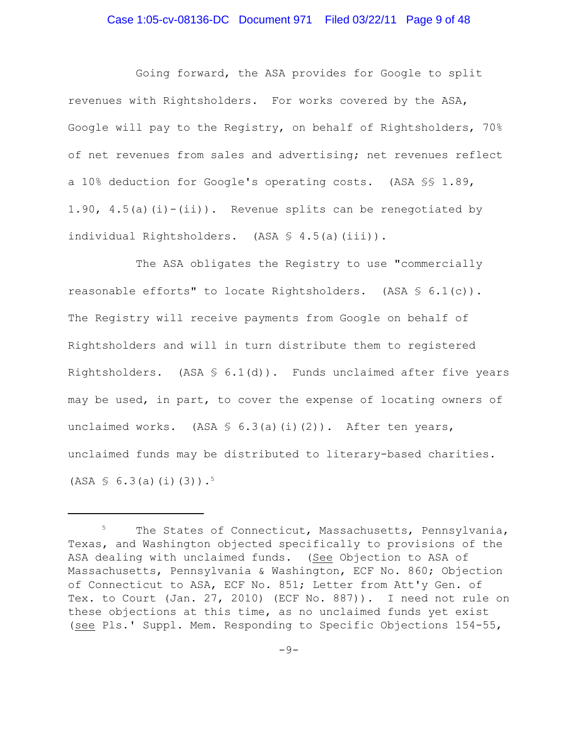### Case 1:05-cv-08136-DC Document 971 Filed 03/22/11 Page 9 of 48

Going forward, the ASA provides for Google to split revenues with Rightsholders. For works covered by the ASA, Google will pay to the Registry, on behalf of Rightsholders, 70% of net revenues from sales and advertising; net revenues reflect a 10% deduction for Google's operating costs. (ASA §§ 1.89, 1.90,  $4.5(a)(i) - (ii)$ . Revenue splits can be renegotiated by individual Rightsholders. (ASA § 4.5(a)(iii)).

The ASA obligates the Registry to use "commercially reasonable efforts" to locate Rightsholders. (ASA § 6.1(c)). The Registry will receive payments from Google on behalf of Rightsholders and will in turn distribute them to registered Rightsholders. (ASA  $\frac{1}{3}$  6.1(d)). Funds unclaimed after five years may be used, in part, to cover the expense of locating owners of unclaimed works. (ASA  $\frac{1}{2}$  6.3(a)(i)(2)). After ten years, unclaimed funds may be distributed to literary-based charities.  $(ASA \, \S \, 6.3(a)(i)(3))$ .<sup>5</sup>

The States of Connecticut, Massachusetts, Pennsylvania, Texas, and Washington objected specifically to provisions of the ASA dealing with unclaimed funds. (See Objection to ASA of Massachusetts, Pennsylvania & Washington, ECF No. 860; Objection of Connecticut to ASA, ECF No. 851; Letter from Att'y Gen. of Tex. to Court (Jan. 27, 2010) (ECF No. 887)). I need not rule on these objections at this time, as no unclaimed funds yet exist (see Pls.' Suppl. Mem. Responding to Specific Objections 154-55,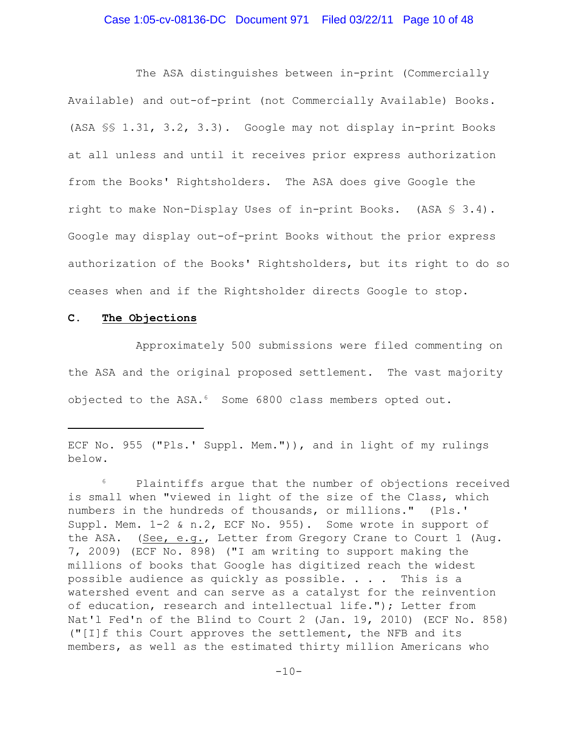### Case 1:05-cv-08136-DC Document 971 Filed 03/22/11 Page 10 of 48

The ASA distinguishes between in-print (Commercially Available) and out-of-print (not Commercially Available) Books. (ASA §§ 1.31, 3.2, 3.3). Google may not display in-print Books at all unless and until it receives prior express authorization from the Books' Rightsholders. The ASA does give Google the right to make Non-Display Uses of in-print Books. (ASA § 3.4). Google may display out-of-print Books without the prior express authorization of the Books' Rightsholders, but its right to do so ceases when and if the Rightsholder directs Google to stop.

## **C. The Objections**

Approximately 500 submissions were filed commenting on the ASA and the original proposed settlement. The vast majority objected to the ASA.<sup>6</sup> Some 6800 class members opted out.

ECF No. 955 ("Pls.' Suppl. Mem.")), and in light of my rulings below.

 $6$  Plaintiffs argue that the number of objections received is small when "viewed in light of the size of the Class, which numbers in the hundreds of thousands, or millions." (Pls.' Suppl. Mem. 1-2 & n.2, ECF No. 955). Some wrote in support of the ASA. (See, e.g., Letter from Gregory Crane to Court 1 (Aug. 7, 2009) (ECF No. 898) ("I am writing to support making the millions of books that Google has digitized reach the widest possible audience as quickly as possible.  $\ldots$  . This is a watershed event and can serve as a catalyst for the reinvention of education, research and intellectual life."); Letter from Nat'l Fed'n of the Blind to Court 2 (Jan. 19, 2010) (ECF No. 858) ("[I]f this Court approves the settlement, the NFB and its members, as well as the estimated thirty million Americans who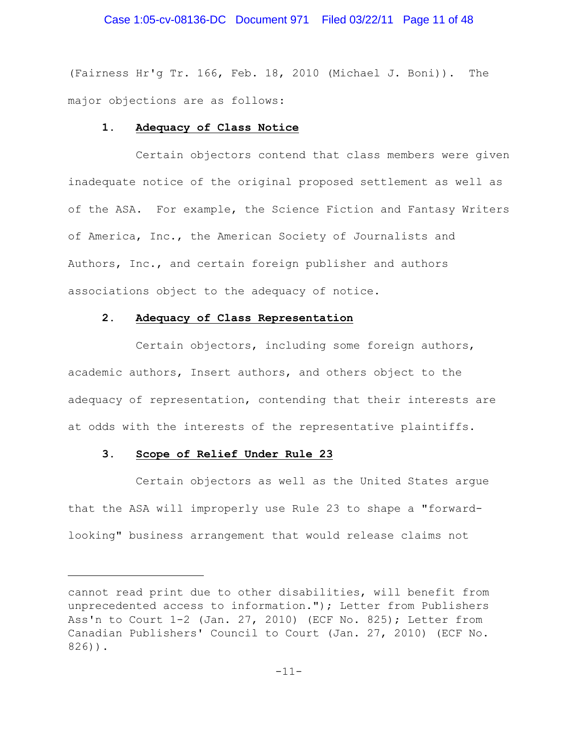# Case 1:05-cv-08136-DC Document 971 Filed 03/22/11 Page 11 of 48

(Fairness Hr'g Tr. 166, Feb. 18, 2010 (Michael J. Boni)). The major objections are as follows:

#### **1. Adequacy of Class Notice**

Certain objectors contend that class members were given inadequate notice of the original proposed settlement as well as of the ASA. For example, the Science Fiction and Fantasy Writers of America, Inc., the American Society of Journalists and Authors, Inc., and certain foreign publisher and authors associations object to the adequacy of notice.

### **2. Adequacy of Class Representation**

Certain objectors, including some foreign authors, academic authors, Insert authors, and others object to the adequacy of representation, contending that their interests are at odds with the interests of the representative plaintiffs.

#### **3. Scope of Relief Under Rule 23**

Certain objectors as well as the United States argue that the ASA will improperly use Rule 23 to shape a "forwardlooking" business arrangement that would release claims not

cannot read print due to other disabilities, will benefit from unprecedented access to information."); Letter from Publishers Ass'n to Court 1-2 (Jan. 27, 2010) (ECF No. 825); Letter from Canadian Publishers' Council to Court (Jan. 27, 2010) (ECF No. 826)).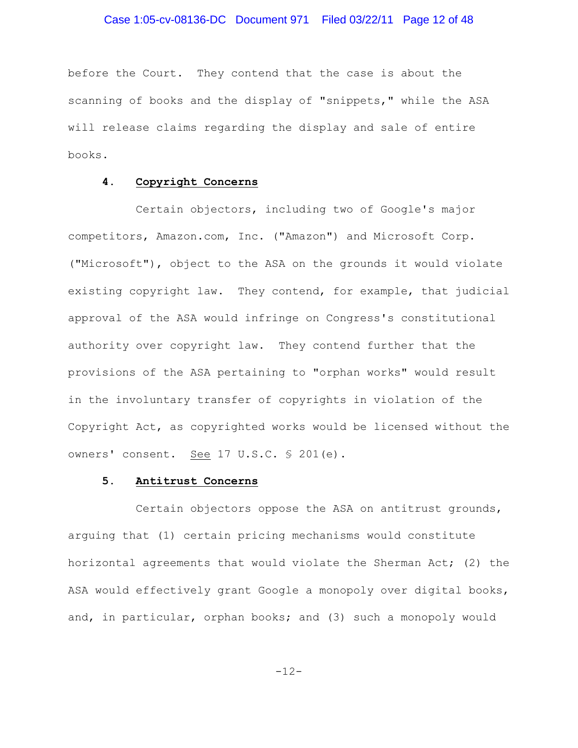before the Court. They contend that the case is about the scanning of books and the display of "snippets," while the ASA will release claims regarding the display and sale of entire books.

#### **4. Copyright Concerns**

Certain objectors, including two of Google's major competitors, Amazon.com, Inc. ("Amazon") and Microsoft Corp. ("Microsoft"), object to the ASA on the grounds it would violate existing copyright law. They contend, for example, that judicial approval of the ASA would infringe on Congress's constitutional authority over copyright law. They contend further that the provisions of the ASA pertaining to "orphan works" would result in the involuntary transfer of copyrights in violation of the Copyright Act, as copyrighted works would be licensed without the owners' consent. See 17 U.S.C. § 201(e).

### **5. Antitrust Concerns**

Certain objectors oppose the ASA on antitrust grounds, arguing that (1) certain pricing mechanisms would constitute horizontal agreements that would violate the Sherman Act; (2) the ASA would effectively grant Google a monopoly over digital books, and, in particular, orphan books; and (3) such a monopoly would

-12-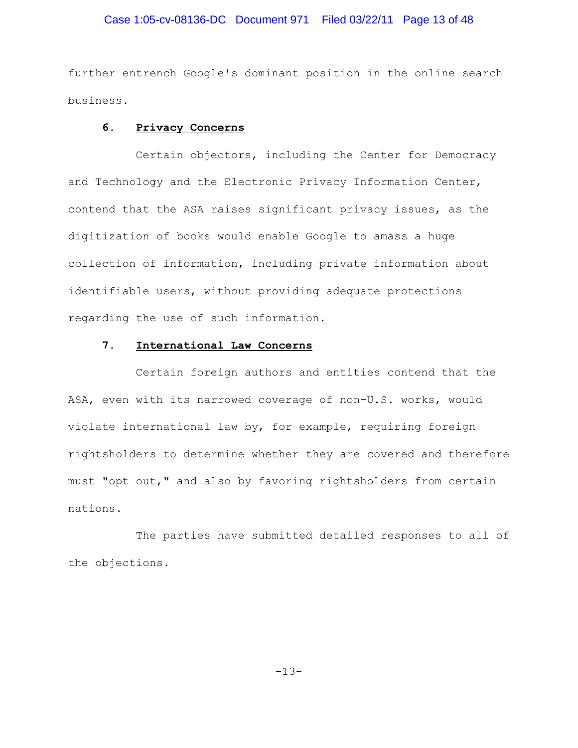# Case 1:05-cv-08136-DC Document 971 Filed 03/22/11 Page 13 of 48

further entrench Google's dominant position in the online search business.

#### **6. Privacy Concerns**

Certain objectors, including the Center for Democracy and Technology and the Electronic Privacy Information Center, contend that the ASA raises significant privacy issues, as the digitization of books would enable Google to amass a huge collection of information, including private information about identifiable users, without providing adequate protections regarding the use of such information.

## **7. International Law Concerns**

Certain foreign authors and entities contend that the ASA, even with its narrowed coverage of non-U.S. works, would violate international law by, for example, requiring foreign rightsholders to determine whether they are covered and therefore must "opt out," and also by favoring rightsholders from certain nations.

The parties have submitted detailed responses to all of the objections.

-13-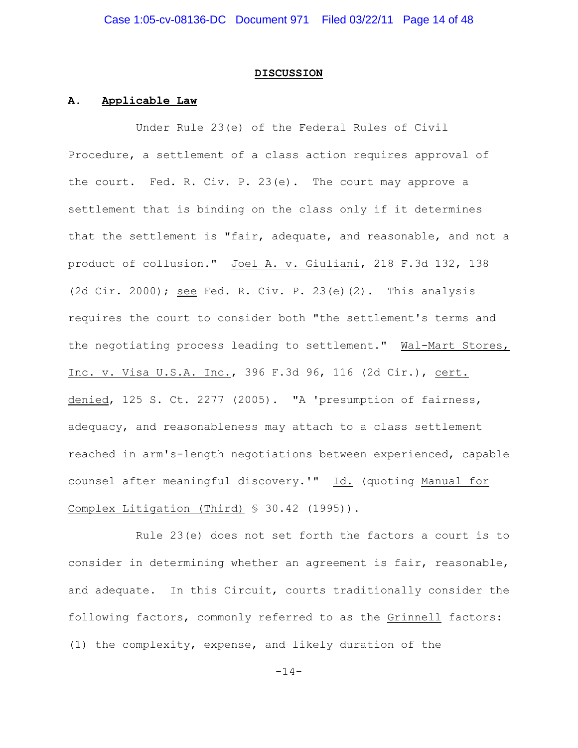#### **DISCUSSION**

#### **A. Applicable Law**

Under Rule 23(e) of the Federal Rules of Civil Procedure, a settlement of a class action requires approval of the court. Fed. R. Civ. P. 23(e). The court may approve a settlement that is binding on the class only if it determines that the settlement is "fair, adequate, and reasonable, and not a product of collusion." Joel A. v. Giuliani, 218 F.3d 132, 138 (2d Cir. 2000); see Fed. R. Civ. P. 23(e)(2). This analysis requires the court to consider both "the settlement's terms and the negotiating process leading to settlement." Wal-Mart Stores, Inc. v. Visa U.S.A. Inc., 396 F.3d 96, 116 (2d Cir.), cert. denied, 125 S. Ct. 2277 (2005). "A 'presumption of fairness, adequacy, and reasonableness may attach to a class settlement reached in arm's-length negotiations between experienced, capable counsel after meaningful discovery.'" Id. (quoting Manual for Complex Litigation (Third) § 30.42 (1995)).

Rule 23(e) does not set forth the factors a court is to consider in determining whether an agreement is fair, reasonable, and adequate. In this Circuit, courts traditionally consider the following factors, commonly referred to as the Grinnell factors: (1) the complexity, expense, and likely duration of the

 $-14-$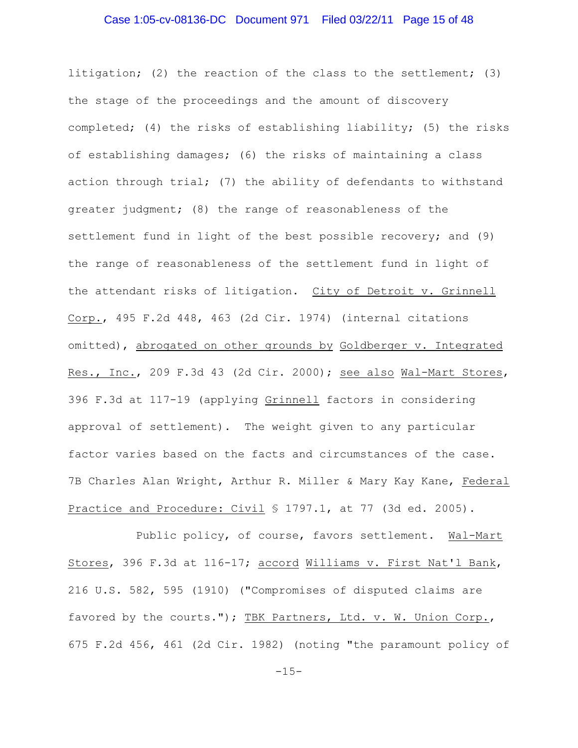# Case 1:05-cv-08136-DC Document 971 Filed 03/22/11 Page 15 of 48

litigation; (2) the reaction of the class to the settlement; (3) the stage of the proceedings and the amount of discovery completed; (4) the risks of establishing liability; (5) the risks of establishing damages; (6) the risks of maintaining a class action through trial; (7) the ability of defendants to withstand greater judgment; (8) the range of reasonableness of the settlement fund in light of the best possible recovery; and (9) the range of reasonableness of the settlement fund in light of the attendant risks of litigation. City of Detroit v. Grinnell Corp., 495 F.2d 448, 463 (2d Cir. 1974) (internal citations omitted), abrogated on other grounds by Goldberger v. Integrated Res., Inc., 209 F.3d 43 (2d Cir. 2000); see also Wal-Mart Stores, 396 F.3d at 117-19 (applying Grinnell factors in considering approval of settlement). The weight given to any particular factor varies based on the facts and circumstances of the case. 7B Charles Alan Wright, Arthur R. Miller & Mary Kay Kane, Federal Practice and Procedure: Civil § 1797.1, at 77 (3d ed. 2005).

Public policy, of course, favors settlement. Wal-Mart Stores, 396 F.3d at 116-17; accord Williams v. First Nat'l Bank, 216 U.S. 582, 595 (1910) ("Compromises of disputed claims are favored by the courts."); TBK Partners, Ltd. v. W. Union Corp., 675 F.2d 456, 461 (2d Cir. 1982) (noting "the paramount policy of

 $-15-$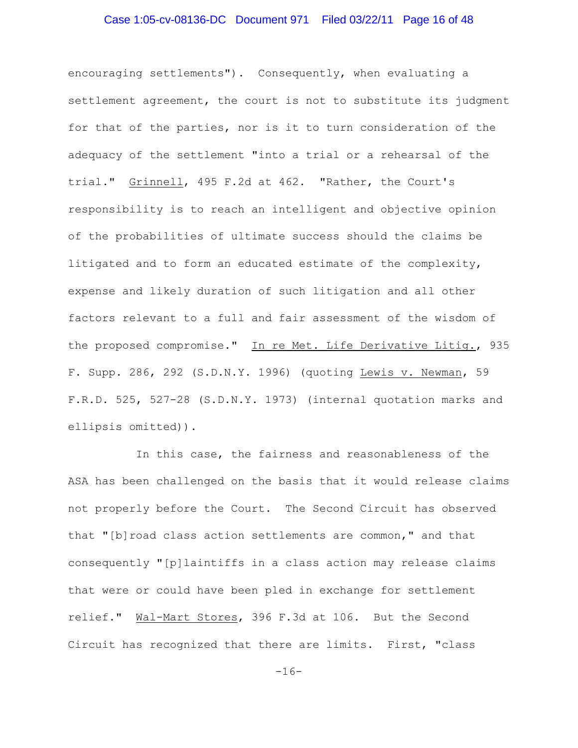# Case 1:05-cv-08136-DC Document 971 Filed 03/22/11 Page 16 of 48

encouraging settlements"). Consequently, when evaluating a settlement agreement, the court is not to substitute its judgment for that of the parties, nor is it to turn consideration of the adequacy of the settlement "into a trial or a rehearsal of the trial." Grinnell, 495 F.2d at 462. "Rather, the Court's responsibility is to reach an intelligent and objective opinion of the probabilities of ultimate success should the claims be litigated and to form an educated estimate of the complexity, expense and likely duration of such litigation and all other factors relevant to a full and fair assessment of the wisdom of the proposed compromise." In re Met. Life Derivative Litig., 935 F. Supp. 286, 292 (S.D.N.Y. 1996) (quoting Lewis v. Newman, 59 F.R.D. 525, 527-28 (S.D.N.Y. 1973) (internal quotation marks and ellipsis omitted)).

In this case, the fairness and reasonableness of the ASA has been challenged on the basis that it would release claims not properly before the Court. The Second Circuit has observed that "[b]road class action settlements are common," and that consequently "[p]laintiffs in a class action may release claims that were or could have been pled in exchange for settlement relief." Wal-Mart Stores, 396 F.3d at 106. But the Second Circuit has recognized that there are limits. First, "class

-16-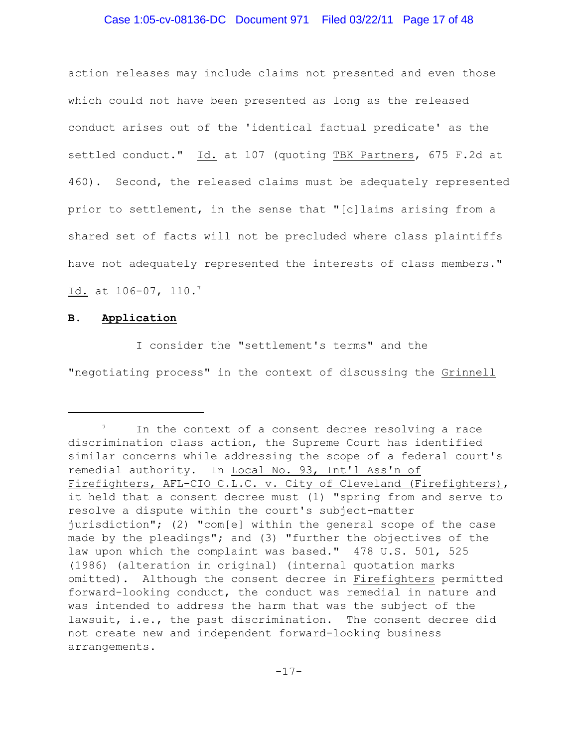# Case 1:05-cv-08136-DC Document 971 Filed 03/22/11 Page 17 of 48

action releases may include claims not presented and even those which could not have been presented as long as the released conduct arises out of the 'identical factual predicate' as the settled conduct." Id. at 107 (quoting TBK Partners, 675 F.2d at 460). Second, the released claims must be adequately represented prior to settlement, in the sense that "[c]laims arising from a shared set of facts will not be precluded where class plaintiffs have not adequately represented the interests of class members." Id. at 106-07, 110.<sup>7</sup>

#### **B. Application**

I consider the "settlement's terms" and the "negotiating process" in the context of discussing the Grinnell

 $\frac{7}{10}$  In the context of a consent decree resolving a race discrimination class action, the Supreme Court has identified similar concerns while addressing the scope of a federal court's remedial authority. In Local No. 93, Int'l Ass'n of Firefighters, AFL-CIO C.L.C. v. City of Cleveland (Firefighters), it held that a consent decree must (1) "spring from and serve to resolve a dispute within the court's subject-matter jurisdiction"; (2) "com[e] within the general scope of the case made by the pleadings"; and (3) "further the objectives of the law upon which the complaint was based." 478 U.S. 501, 525 (1986) (alteration in original) (internal quotation marks omitted). Although the consent decree in Firefighters permitted forward-looking conduct, the conduct was remedial in nature and was intended to address the harm that was the subject of the lawsuit, i.e., the past discrimination. The consent decree did not create new and independent forward-looking business arrangements.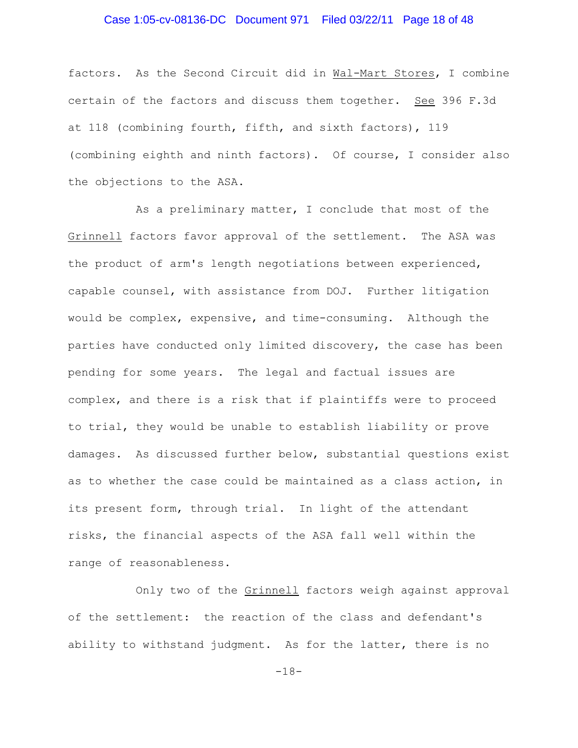# Case 1:05-cv-08136-DC Document 971 Filed 03/22/11 Page 18 of 48

factors. As the Second Circuit did in Wal-Mart Stores, I combine certain of the factors and discuss them together. See 396 F.3d at 118 (combining fourth, fifth, and sixth factors), 119 (combining eighth and ninth factors). Of course, I consider also the objections to the ASA.

As a preliminary matter, I conclude that most of the Grinnell factors favor approval of the settlement. The ASA was the product of arm's length negotiations between experienced, capable counsel, with assistance from DOJ. Further litigation would be complex, expensive, and time-consuming. Although the parties have conducted only limited discovery, the case has been pending for some years. The legal and factual issues are complex, and there is a risk that if plaintiffs were to proceed to trial, they would be unable to establish liability or prove damages. As discussed further below, substantial questions exist as to whether the case could be maintained as a class action, in its present form, through trial. In light of the attendant risks, the financial aspects of the ASA fall well within the range of reasonableness.

Only two of the Grinnell factors weigh against approval of the settlement: the reaction of the class and defendant's ability to withstand judgment. As for the latter, there is no

-18-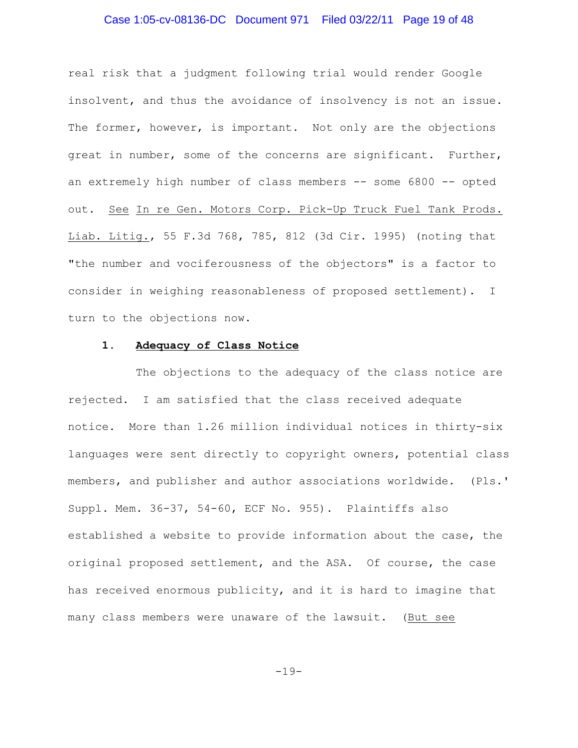# Case 1:05-cv-08136-DC Document 971 Filed 03/22/11 Page 19 of 48

real risk that a judgment following trial would render Google insolvent, and thus the avoidance of insolvency is not an issue. The former, however, is important. Not only are the objections great in number, some of the concerns are significant. Further, an extremely high number of class members -- some 6800 -- opted out. See In re Gen. Motors Corp. Pick-Up Truck Fuel Tank Prods. Liab. Litig., 55 F.3d 768, 785, 812 (3d Cir. 1995) (noting that "the number and vociferousness of the objectors" is a factor to consider in weighing reasonableness of proposed settlement). I turn to the objections now.

## **1. Adequacy of Class Notice**

The objections to the adequacy of the class notice are rejected. I am satisfied that the class received adequate notice. More than 1.26 million individual notices in thirty-six languages were sent directly to copyright owners, potential class members, and publisher and author associations worldwide. (Pls.' Suppl. Mem. 36-37, 54-60, ECF No. 955). Plaintiffs also established a website to provide information about the case, the original proposed settlement, and the ASA. Of course, the case has received enormous publicity, and it is hard to imagine that many class members were unaware of the lawsuit. (But see

-19-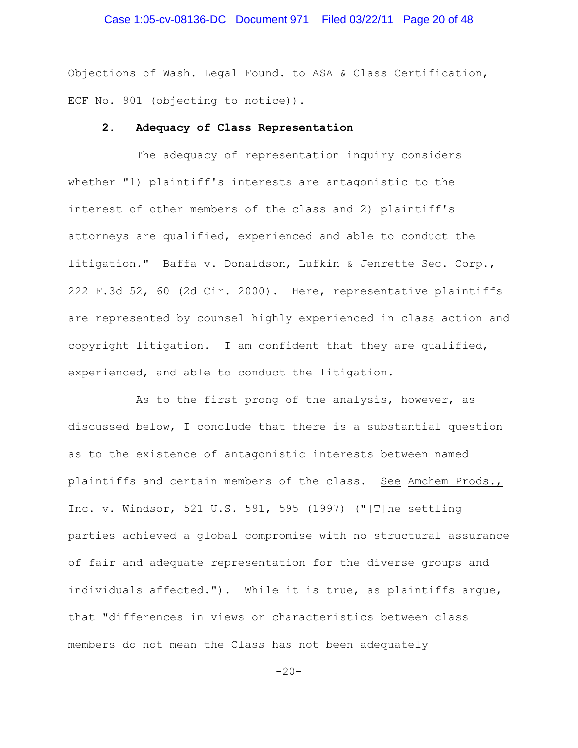# Case 1:05-cv-08136-DC Document 971 Filed 03/22/11 Page 20 of 48

Objections of Wash. Legal Found. to ASA & Class Certification, ECF No. 901 (objecting to notice)).

#### **2. Adequacy of Class Representation**

The adequacy of representation inquiry considers whether "1) plaintiff's interests are antagonistic to the interest of other members of the class and 2) plaintiff's attorneys are qualified, experienced and able to conduct the litigation." Baffa v. Donaldson, Lufkin & Jenrette Sec. Corp., 222 F.3d 52, 60 (2d Cir. 2000). Here, representative plaintiffs are represented by counsel highly experienced in class action and copyright litigation. I am confident that they are qualified, experienced, and able to conduct the litigation.

As to the first prong of the analysis, however, as discussed below, I conclude that there is a substantial question as to the existence of antagonistic interests between named plaintiffs and certain members of the class. See Amchem Prods., Inc. v. Windsor, 521 U.S. 591, 595 (1997) ("[T]he settling parties achieved a global compromise with no structural assurance of fair and adequate representation for the diverse groups and individuals affected."). While it is true, as plaintiffs argue, that "differences in views or characteristics between class members do not mean the Class has not been adequately

 $-20-$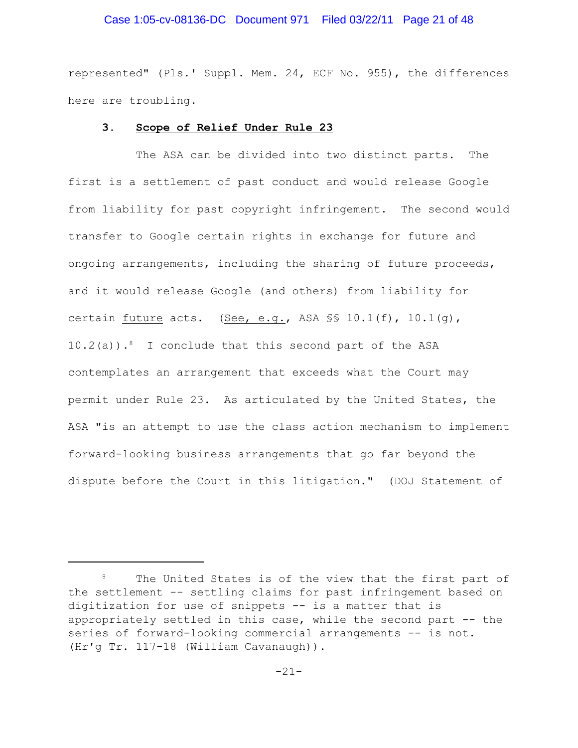### Case 1:05-cv-08136-DC Document 971 Filed 03/22/11 Page 21 of 48

represented" (Pls.' Suppl. Mem. 24, ECF No. 955), the differences here are troubling.

#### **3. Scope of Relief Under Rule 23**

The ASA can be divided into two distinct parts. The first is a settlement of past conduct and would release Google from liability for past copyright infringement. The second would transfer to Google certain rights in exchange for future and ongoing arrangements, including the sharing of future proceeds, and it would release Google (and others) from liability for certain future acts. (See, e.g., ASA  $\$  10.1(f), 10.1(g),  $10.2(a)$ ).<sup>8</sup> I conclude that this second part of the ASA contemplates an arrangement that exceeds what the Court may permit under Rule 23. As articulated by the United States, the ASA "is an attempt to use the class action mechanism to implement forward-looking business arrangements that go far beyond the dispute before the Court in this litigation." (DOJ Statement of

<sup>&</sup>lt;sup>8</sup> The United States is of the view that the first part of the settlement -- settling claims for past infringement based on digitization for use of snippets -- is a matter that is appropriately settled in this case, while the second part -- the series of forward-looking commercial arrangements -- is not. (Hr'g Tr. 117-18 (William Cavanaugh)).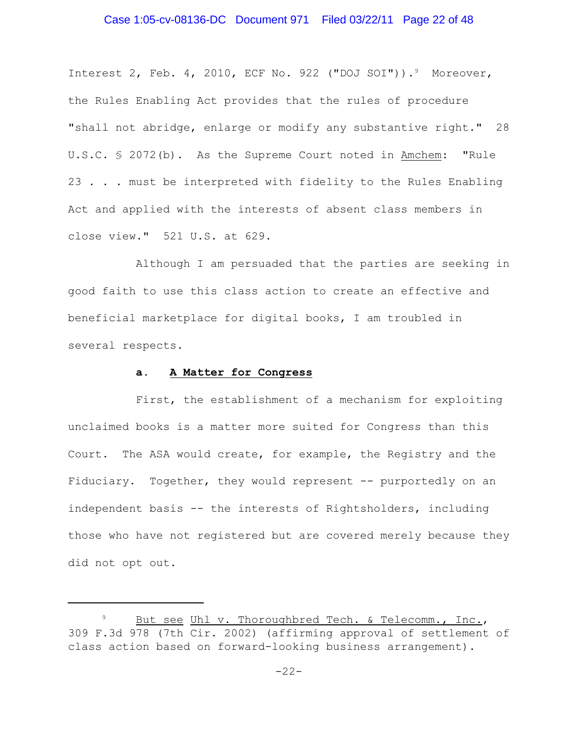# Case 1:05-cv-08136-DC Document 971 Filed 03/22/11 Page 22 of 48

Interest 2, Feb. 4, 2010, ECF No. 922 ("DOJ SOI")).<sup>9</sup> Moreover, the Rules Enabling Act provides that the rules of procedure "shall not abridge, enlarge or modify any substantive right." 28 U.S.C. § 2072(b). As the Supreme Court noted in Amchem: "Rule 23 . . . must be interpreted with fidelity to the Rules Enabling Act and applied with the interests of absent class members in close view." 521 U.S. at 629.

Although I am persuaded that the parties are seeking in good faith to use this class action to create an effective and beneficial marketplace for digital books, I am troubled in several respects.

#### **a. A Matter for Congress**

First, the establishment of a mechanism for exploiting unclaimed books is a matter more suited for Congress than this Court. The ASA would create, for example, the Registry and the Fiduciary. Together, they would represent -- purportedly on an independent basis -- the interests of Rightsholders, including those who have not registered but are covered merely because they did not opt out.

But see Uhl v. Thoroughbred Tech. & Telecomm., Inc., 309 F.3d 978 (7th Cir. 2002) (affirming approval of settlement of class action based on forward-looking business arrangement).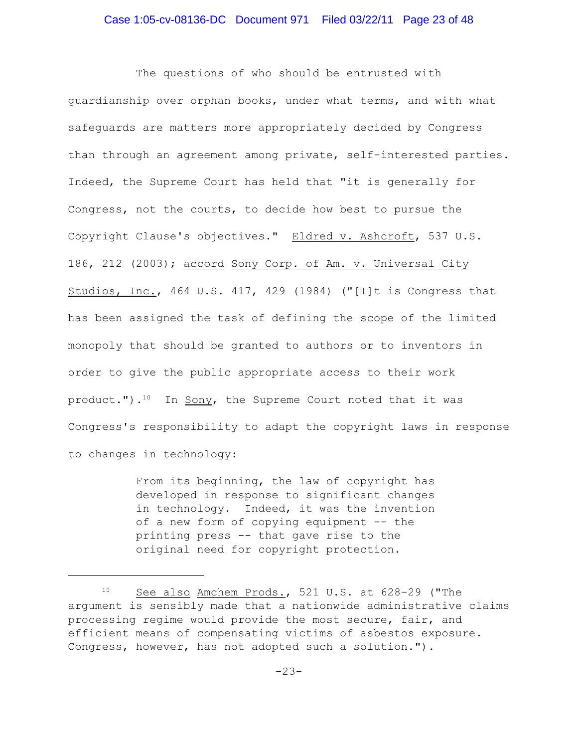The questions of who should be entrusted with guardianship over orphan books, under what terms, and with what safeguards are matters more appropriately decided by Congress than through an agreement among private, self-interested parties. Indeed, the Supreme Court has held that "it is generally for Congress, not the courts, to decide how best to pursue the Copyright Clause's objectives." Eldred v. Ashcroft, 537 U.S. 186, 212 (2003); accord Sony Corp. of Am. v. Universal City Studios, Inc., 464 U.S. 417, 429 (1984) ("[I]t is Congress that has been assigned the task of defining the scope of the limited monopoly that should be granted to authors or to inventors in order to give the public appropriate access to their work product."). $10$  In Sony, the Supreme Court noted that it was Congress's responsibility to adapt the copyright laws in response to changes in technology:

> From its beginning, the law of copyright has developed in response to significant changes in technology. Indeed, it was the invention of a new form of copying equipment -- the printing press -- that gave rise to the original need for copyright protection.

 $10$  See also Amchem Prods., 521 U.S. at 628-29 ("The argument is sensibly made that a nationwide administrative claims processing regime would provide the most secure, fair, and efficient means of compensating victims of asbestos exposure. Congress, however, has not adopted such a solution.").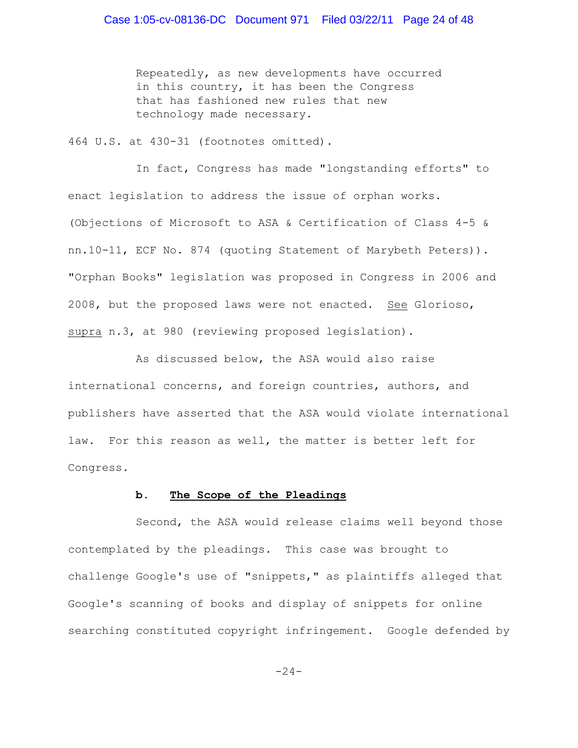Repeatedly, as new developments have occurred in this country, it has been the Congress that has fashioned new rules that new technology made necessary.

464 U.S. at 430-31 (footnotes omitted).

In fact, Congress has made "longstanding efforts" to enact legislation to address the issue of orphan works. (Objections of Microsoft to ASA & Certification of Class 4-5 & nn.10-11, ECF No. 874 (quoting Statement of Marybeth Peters)). "Orphan Books" legislation was proposed in Congress in 2006 and 2008, but the proposed laws were not enacted. See Glorioso, supra n.3, at 980 (reviewing proposed legislation).

As discussed below, the ASA would also raise international concerns, and foreign countries, authors, and publishers have asserted that the ASA would violate international law. For this reason as well, the matter is better left for Congress.

### **b. The Scope of the Pleadings**

Second, the ASA would release claims well beyond those contemplated by the pleadings. This case was brought to challenge Google's use of "snippets," as plaintiffs alleged that Google's scanning of books and display of snippets for online searching constituted copyright infringement. Google defended by

 $-24-$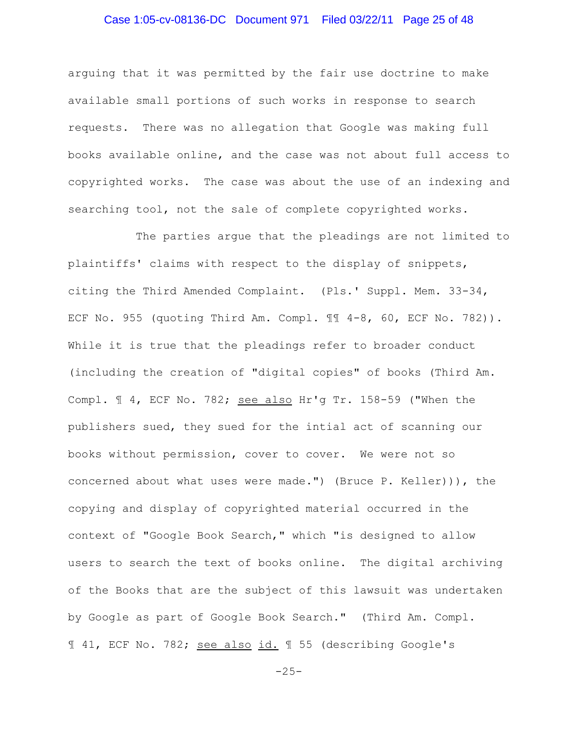# Case 1:05-cv-08136-DC Document 971 Filed 03/22/11 Page 25 of 48

arguing that it was permitted by the fair use doctrine to make available small portions of such works in response to search requests. There was no allegation that Google was making full books available online, and the case was not about full access to copyrighted works. The case was about the use of an indexing and searching tool, not the sale of complete copyrighted works.

The parties argue that the pleadings are not limited to plaintiffs' claims with respect to the display of snippets, citing the Third Amended Complaint. (Pls.' Suppl. Mem. 33-34, ECF No. 955 (quoting Third Am. Compl. ¶¶ 4-8, 60, ECF No. 782)). While it is true that the pleadings refer to broader conduct (including the creation of "digital copies" of books (Third Am. Compl. ¶ 4, ECF No. 782; see also Hr'g Tr. 158-59 ("When the publishers sued, they sued for the intial act of scanning our books without permission, cover to cover. We were not so concerned about what uses were made.") (Bruce P. Keller))), the copying and display of copyrighted material occurred in the context of "Google Book Search," which "is designed to allow users to search the text of books online. The digital archiving of the Books that are the subject of this lawsuit was undertaken by Google as part of Google Book Search." (Third Am. Compl. ¶ 41, ECF No. 782; see also id. ¶ 55 (describing Google's

 $-25-$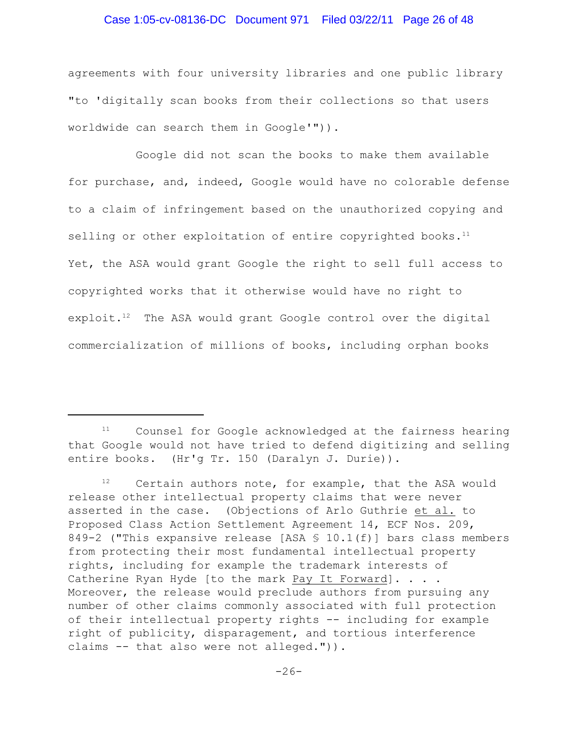### Case 1:05-cv-08136-DC Document 971 Filed 03/22/11 Page 26 of 48

agreements with four university libraries and one public library "to 'digitally scan books from their collections so that users worldwide can search them in Google'")).

Google did not scan the books to make them available for purchase, and, indeed, Google would have no colorable defense to a claim of infringement based on the unauthorized copying and selling or other exploitation of entire copyrighted books.<sup>11</sup> Yet, the ASA would grant Google the right to sell full access to copyrighted works that it otherwise would have no right to exploit. $12$  The ASA would grant Google control over the digital commercialization of millions of books, including orphan books

 $11$  Counsel for Google acknowledged at the fairness hearing that Google would not have tried to defend digitizing and selling entire books. (Hr'g Tr. 150 (Daralyn J. Durie)).

 $12$  Certain authors note, for example, that the ASA would release other intellectual property claims that were never asserted in the case. (Objections of Arlo Guthrie et al. to Proposed Class Action Settlement Agreement 14, ECF Nos. 209, 849-2 ("This expansive release [ASA  $\text{\$}$  10.1(f)] bars class members from protecting their most fundamental intellectual property rights, including for example the trademark interests of Catherine Ryan Hyde [to the mark Pay It Forward]. . . . Moreover, the release would preclude authors from pursuing any number of other claims commonly associated with full protection of their intellectual property rights -- including for example right of publicity, disparagement, and tortious interference claims -- that also were not alleged.")).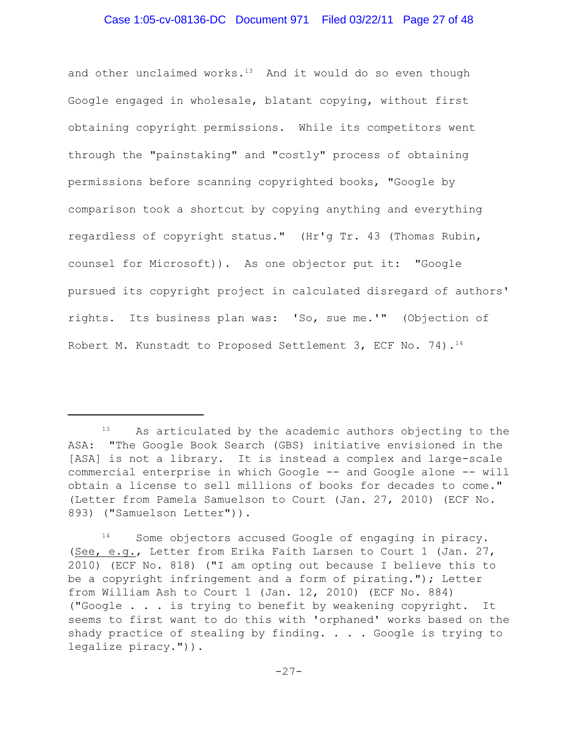and other unclaimed works. $13$  And it would do so even though Google engaged in wholesale, blatant copying, without first obtaining copyright permissions. While its competitors went through the "painstaking" and "costly" process of obtaining permissions before scanning copyrighted books, "Google by comparison took a shortcut by copying anything and everything regardless of copyright status." (Hr'g Tr. 43 (Thomas Rubin, counsel for Microsoft)). As one objector put it: "Google pursued its copyright project in calculated disregard of authors' rights. Its business plan was: 'So, sue me.'" (Objection of Robert M. Kunstadt to Proposed Settlement 3, ECF No. 74).<sup>14</sup>

 $13$  As articulated by the academic authors objecting to the ASA: "The Google Book Search (GBS) initiative envisioned in the [ASA] is not a library. It is instead a complex and large-scale commercial enterprise in which Google -- and Google alone -- will obtain a license to sell millions of books for decades to come." (Letter from Pamela Samuelson to Court (Jan. 27, 2010) (ECF No. 893) ("Samuelson Letter")).

 $14$  Some objectors accused Google of engaging in piracy. (See, e.g., Letter from Erika Faith Larsen to Court 1 (Jan. 27, 2010) (ECF No. 818) ("I am opting out because I believe this to be a copyright infringement and a form of pirating."); Letter from William Ash to Court 1 (Jan. 12, 2010) (ECF No. 884) ("Google . . . is trying to benefit by weakening copyright. It seems to first want to do this with 'orphaned' works based on the shady practice of stealing by finding. . . . Google is trying to legalize piracy.")).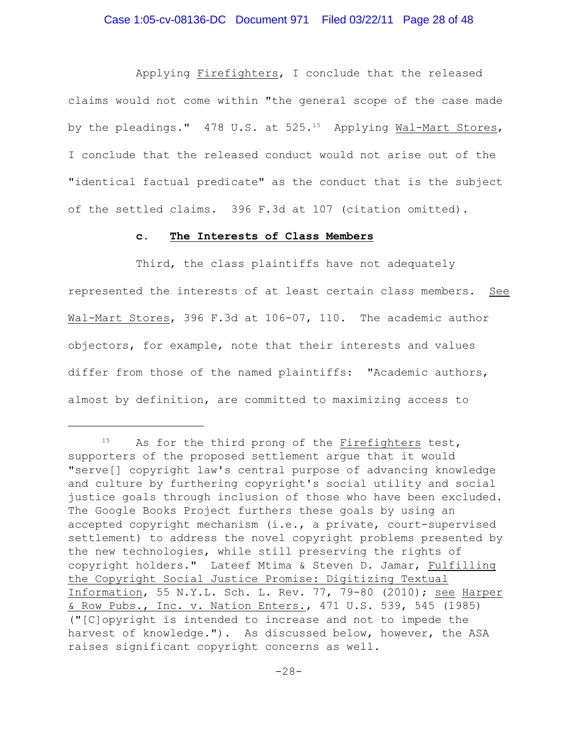Applying Firefighters, I conclude that the released claims would not come within "the general scope of the case made by the pleadings." 478 U.S. at  $525.^{15}$  Applying Wal-Mart Stores, I conclude that the released conduct would not arise out of the "identical factual predicate" as the conduct that is the subject of the settled claims. 396 F.3d at 107 (citation omitted).

#### **c. The Interests of Class Members**

Third, the class plaintiffs have not adequately represented the interests of at least certain class members. See Wal-Mart Stores, 396 F.3d at 106-07, 110. The academic author objectors, for example, note that their interests and values differ from those of the named plaintiffs: "Academic authors, almost by definition, are committed to maximizing access to

 $^{15}$  As for the third prong of the Firefighters test, supporters of the proposed settlement argue that it would "serve[] copyright law's central purpose of advancing knowledge and culture by furthering copyright's social utility and social justice goals through inclusion of those who have been excluded. The Google Books Project furthers these goals by using an accepted copyright mechanism (i.e., a private, court-supervised settlement) to address the novel copyright problems presented by the new technologies, while still preserving the rights of copyright holders." Lateef Mtima & Steven D. Jamar, Fulfilling the Copyright Social Justice Promise: Digitizing Textual Information, 55 N.Y.L. Sch. L. Rev. 77, 79-80 (2010); see Harper & Row Pubs., Inc. v. Nation Enters., 471 U.S. 539, 545 (1985) ("[C]opyright is intended to increase and not to impede the harvest of knowledge."). As discussed below, however, the ASA raises significant copyright concerns as well.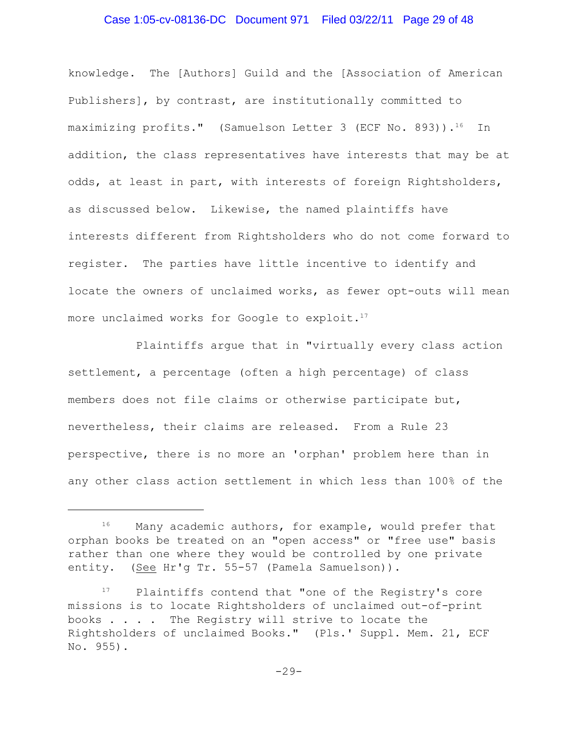# Case 1:05-cv-08136-DC Document 971 Filed 03/22/11 Page 29 of 48

knowledge. The [Authors] Guild and the [Association of American Publishers], by contrast, are institutionally committed to maximizing profits." (Samuelson Letter 3 (ECF No. 893)).<sup>16</sup> In addition, the class representatives have interests that may be at odds, at least in part, with interests of foreign Rightsholders, as discussed below. Likewise, the named plaintiffs have interests different from Rightsholders who do not come forward to register. The parties have little incentive to identify and locate the owners of unclaimed works, as fewer opt-outs will mean more unclaimed works for Google to exploit.<sup>17</sup>

Plaintiffs argue that in "virtually every class action settlement, a percentage (often a high percentage) of class members does not file claims or otherwise participate but, nevertheless, their claims are released. From a Rule 23 perspective, there is no more an 'orphan' problem here than in any other class action settlement in which less than 100% of the

 $16$  Many academic authors, for example, would prefer that orphan books be treated on an "open access" or "free use" basis rather than one where they would be controlled by one private entity. (See Hr'g Tr. 55-57 (Pamela Samuelson)).

 $P17$  Plaintiffs contend that "one of the Registry's core missions is to locate Rightsholders of unclaimed out-of-print books . . . . The Registry will strive to locate the Rightsholders of unclaimed Books." (Pls.' Suppl. Mem. 21, ECF No. 955).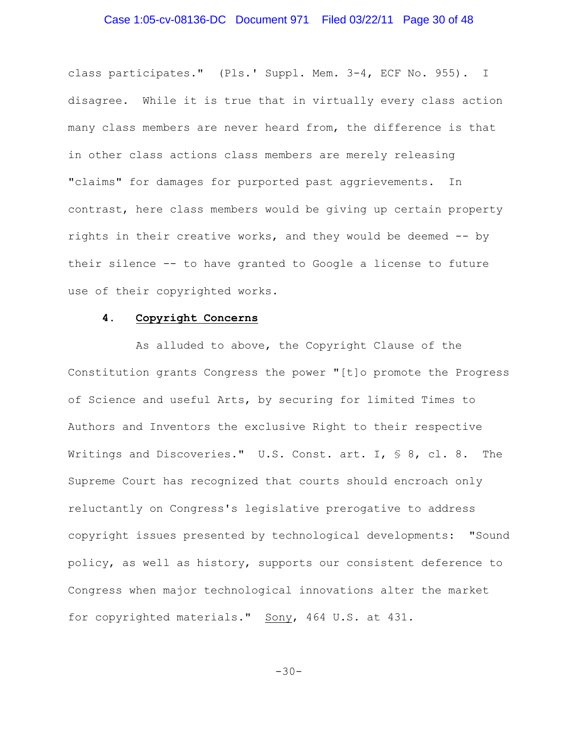# Case 1:05-cv-08136-DC Document 971 Filed 03/22/11 Page 30 of 48

class participates." (Pls.' Suppl. Mem. 3-4, ECF No. 955). I disagree. While it is true that in virtually every class action many class members are never heard from, the difference is that in other class actions class members are merely releasing "claims" for damages for purported past aggrievements. In contrast, here class members would be giving up certain property rights in their creative works, and they would be deemed -- by their silence -- to have granted to Google a license to future use of their copyrighted works.

### **4. Copyright Concerns**

As alluded to above, the Copyright Clause of the Constitution grants Congress the power "[t]o promote the Progress of Science and useful Arts, by securing for limited Times to Authors and Inventors the exclusive Right to their respective Writings and Discoveries." U.S. Const. art. I, § 8, cl. 8. The Supreme Court has recognized that courts should encroach only reluctantly on Congress's legislative prerogative to address copyright issues presented by technological developments: "Sound policy, as well as history, supports our consistent deference to Congress when major technological innovations alter the market for copyrighted materials." Sony, 464 U.S. at 431.

 $-30-$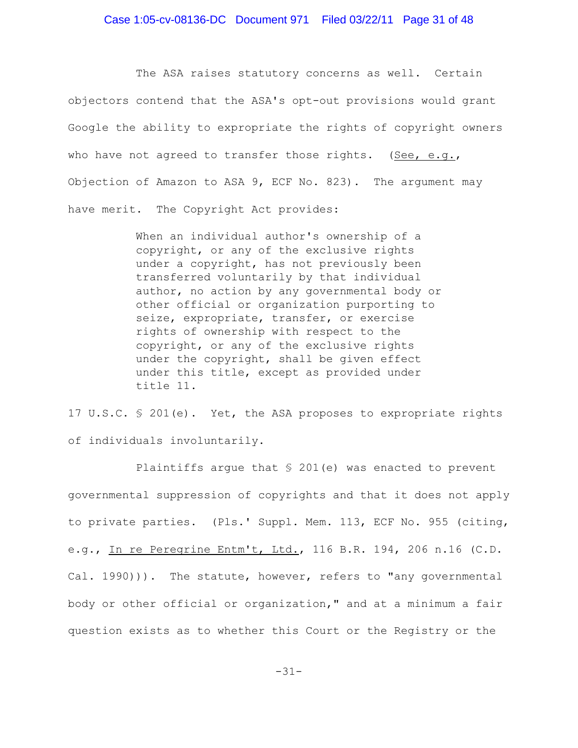# Case 1:05-cv-08136-DC Document 971 Filed 03/22/11 Page 31 of 48

The ASA raises statutory concerns as well. Certain objectors contend that the ASA's opt-out provisions would grant Google the ability to expropriate the rights of copyright owners who have not agreed to transfer those rights. (See, e.g., Objection of Amazon to ASA 9, ECF No. 823). The argument may have merit. The Copyright Act provides:

> When an individual author's ownership of a copyright, or any of the exclusive rights under a copyright, has not previously been transferred voluntarily by that individual author, no action by any governmental body or other official or organization purporting to seize, expropriate, transfer, or exercise rights of ownership with respect to the copyright, or any of the exclusive rights under the copyright, shall be given effect under this title, except as provided under title 11.

17 U.S.C. § 201(e). Yet, the ASA proposes to expropriate rights of individuals involuntarily.

Plaintiffs argue that § 201(e) was enacted to prevent governmental suppression of copyrights and that it does not apply to private parties. (Pls.' Suppl. Mem. 113, ECF No. 955 (citing, e.g., In re Peregrine Entm't, Ltd., 116 B.R. 194, 206 n.16 (C.D. Cal. 1990))). The statute, however, refers to "any governmental body or other official or organization," and at a minimum a fair question exists as to whether this Court or the Registry or the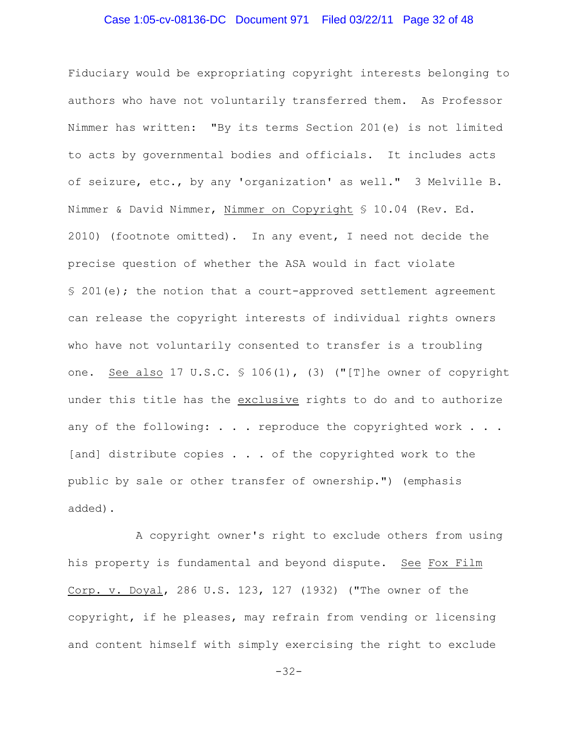# Case 1:05-cv-08136-DC Document 971 Filed 03/22/11 Page 32 of 48

Fiduciary would be expropriating copyright interests belonging to authors who have not voluntarily transferred them. As Professor Nimmer has written: "By its terms Section 201(e) is not limited to acts by governmental bodies and officials. It includes acts of seizure, etc., by any 'organization' as well." 3 Melville B. Nimmer & David Nimmer, Nimmer on Copyright § 10.04 (Rev. Ed. 2010) (footnote omitted). In any event, I need not decide the precise question of whether the ASA would in fact violate § 201(e); the notion that a court-approved settlement agreement can release the copyright interests of individual rights owners who have not voluntarily consented to transfer is a troubling one. See also 17 U.S.C. § 106(1), (3) ("[T]he owner of copyright under this title has the exclusive rights to do and to authorize any of the following:  $\ldots$  . reproduce the copyrighted work  $\ldots$ . [and] distribute copies . . . of the copyrighted work to the public by sale or other transfer of ownership.") (emphasis added).

A copyright owner's right to exclude others from using his property is fundamental and beyond dispute. See Fox Film Corp. v. Doyal, 286 U.S. 123, 127 (1932) ("The owner of the copyright, if he pleases, may refrain from vending or licensing and content himself with simply exercising the right to exclude

-32-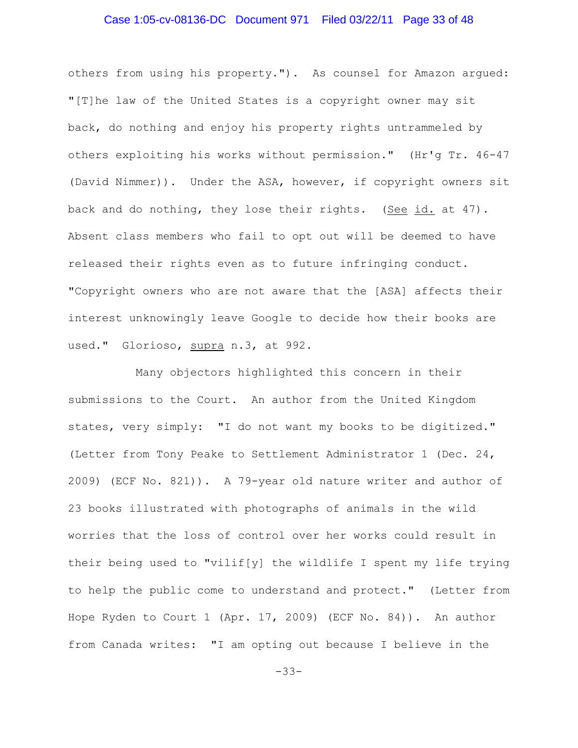# Case 1:05-cv-08136-DC Document 971 Filed 03/22/11 Page 33 of 48

others from using his property."). As counsel for Amazon argued: "[T]he law of the United States is a copyright owner may sit back, do nothing and enjoy his property rights untrammeled by others exploiting his works without permission." (Hr'g Tr. 46-47 (David Nimmer)). Under the ASA, however, if copyright owners sit back and do nothing, they lose their rights. (See id. at 47). Absent class members who fail to opt out will be deemed to have released their rights even as to future infringing conduct. "Copyright owners who are not aware that the [ASA] affects their interest unknowingly leave Google to decide how their books are used." Glorioso, supra n.3, at 992.

Many objectors highlighted this concern in their submissions to the Court. An author from the United Kingdom states, very simply: "I do not want my books to be digitized." (Letter from Tony Peake to Settlement Administrator 1 (Dec. 24, 2009) (ECF No. 821)). A 79-year old nature writer and author of 23 books illustrated with photographs of animals in the wild worries that the loss of control over her works could result in their being used to "vilif[y] the wildlife I spent my life trying to help the public come to understand and protect." (Letter from Hope Ryden to Court 1 (Apr. 17, 2009) (ECF No. 84)). An author from Canada writes: "I am opting out because I believe in the

-33-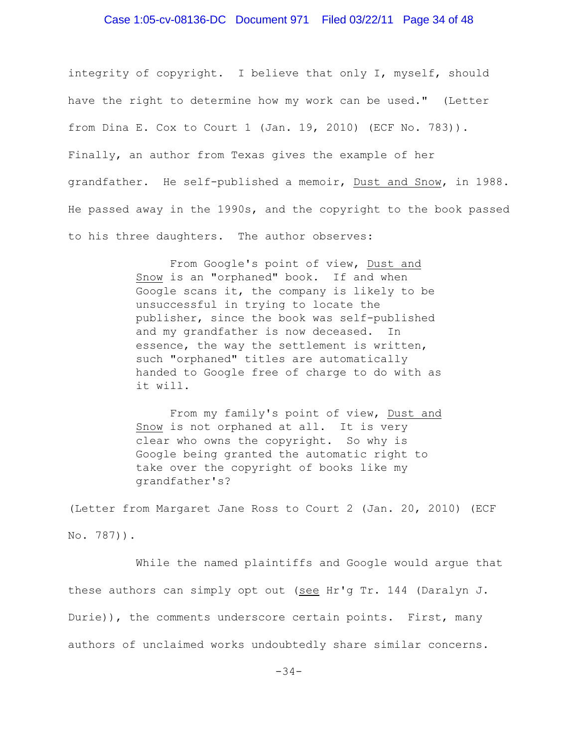# Case 1:05-cv-08136-DC Document 971 Filed 03/22/11 Page 34 of 48

integrity of copyright. I believe that only I, myself, should have the right to determine how my work can be used." (Letter from Dina E. Cox to Court 1 (Jan. 19, 2010) (ECF No. 783)). Finally, an author from Texas gives the example of her grandfather. He self-published a memoir, Dust and Snow, in 1988. He passed away in the 1990s, and the copyright to the book passed to his three daughters. The author observes:

> From Google's point of view, Dust and Snow is an "orphaned" book. If and when Google scans it, the company is likely to be unsuccessful in trying to locate the publisher, since the book was self-published and my grandfather is now deceased. In essence, the way the settlement is written, such "orphaned" titles are automatically handed to Google free of charge to do with as it will.

> From my family's point of view, Dust and Snow is not orphaned at all. It is very clear who owns the copyright. So why is Google being granted the automatic right to take over the copyright of books like my grandfather's?

(Letter from Margaret Jane Ross to Court 2 (Jan. 20, 2010) (ECF No. 787)).

While the named plaintiffs and Google would argue that these authors can simply opt out (see Hr'g Tr. 144 (Daralyn J. Durie)), the comments underscore certain points. First, many authors of unclaimed works undoubtedly share similar concerns.

-34-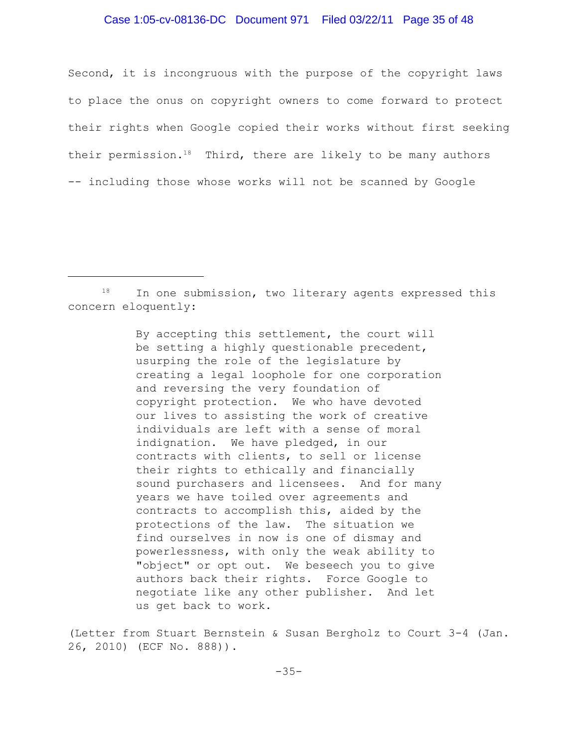### Case 1:05-cv-08136-DC Document 971 Filed 03/22/11 Page 35 of 48

Second, it is incongruous with the purpose of the copyright laws to place the onus on copyright owners to come forward to protect their rights when Google copied their works without first seeking their permission.<sup>18</sup> Third, there are likely to be many authors -- including those whose works will not be scanned by Google

By accepting this settlement, the court will be setting a highly questionable precedent, usurping the role of the legislature by creating a legal loophole for one corporation and reversing the very foundation of copyright protection. We who have devoted our lives to assisting the work of creative individuals are left with a sense of moral indignation. We have pledged, in our contracts with clients, to sell or license their rights to ethically and financially sound purchasers and licensees. And for many years we have toiled over agreements and contracts to accomplish this, aided by the protections of the law. The situation we find ourselves in now is one of dismay and powerlessness, with only the weak ability to "object" or opt out. We beseech you to give authors back their rights. Force Google to negotiate like any other publisher. And let us get back to work.

(Letter from Stuart Bernstein & Susan Bergholz to Court 3-4 (Jan. 26, 2010) (ECF No. 888)).

 $18$  In one submission, two literary agents expressed this concern eloquently: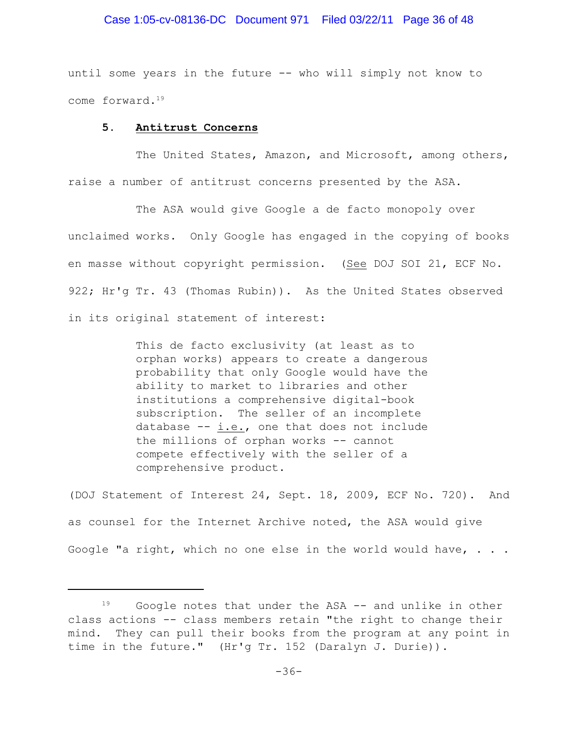### Case 1:05-cv-08136-DC Document 971 Filed 03/22/11 Page 36 of 48

until some years in the future -- who will simply not know to come forward. 19

#### **5. Antitrust Concerns**

The United States, Amazon, and Microsoft, among others, raise a number of antitrust concerns presented by the ASA.

The ASA would give Google a de facto monopoly over unclaimed works. Only Google has engaged in the copying of books en masse without copyright permission. (See DOJ SOI 21, ECF No. 922; Hr'g Tr. 43 (Thomas Rubin)). As the United States observed in its original statement of interest:

> This de facto exclusivity (at least as to orphan works) appears to create a dangerous probability that only Google would have the ability to market to libraries and other institutions a comprehensive digital-book subscription. The seller of an incomplete database -- i.e., one that does not include the millions of orphan works -- cannot compete effectively with the seller of a comprehensive product.

(DOJ Statement of Interest 24, Sept. 18, 2009, ECF No. 720). And as counsel for the Internet Archive noted, the ASA would give Google "a right, which no one else in the world would have,  $\ldots$ .

 $19$  Google notes that under the ASA -- and unlike in other class actions -- class members retain "the right to change their mind. They can pull their books from the program at any point in time in the future." (Hr'g Tr. 152 (Daralyn J. Durie)).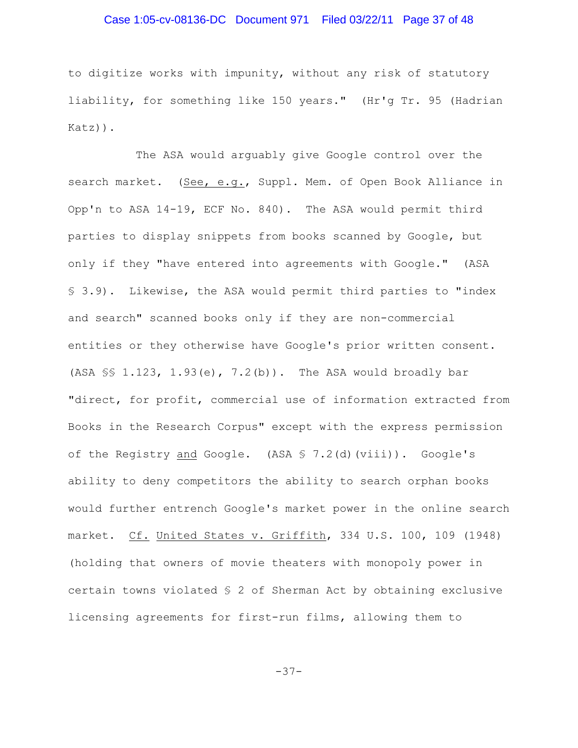# Case 1:05-cv-08136-DC Document 971 Filed 03/22/11 Page 37 of 48

to digitize works with impunity, without any risk of statutory liability, for something like 150 years." (Hr'g Tr. 95 (Hadrian Katz)).

The ASA would arguably give Google control over the search market. (See, e.g., Suppl. Mem. of Open Book Alliance in Opp'n to ASA 14-19, ECF No. 840). The ASA would permit third parties to display snippets from books scanned by Google, but only if they "have entered into agreements with Google." (ASA § 3.9). Likewise, the ASA would permit third parties to "index and search" scanned books only if they are non-commercial entities or they otherwise have Google's prior written consent. (ASA §§ 1.123, 1.93(e), 7.2(b)). The ASA would broadly bar "direct, for profit, commercial use of information extracted from Books in the Research Corpus" except with the express permission of the Registry and Google. (ASA § 7.2(d)(viii)). Google's ability to deny competitors the ability to search orphan books would further entrench Google's market power in the online search market. Cf. United States v. Griffith, 334 U.S. 100, 109 (1948) (holding that owners of movie theaters with monopoly power in certain towns violated § 2 of Sherman Act by obtaining exclusive licensing agreements for first-run films, allowing them to

-37-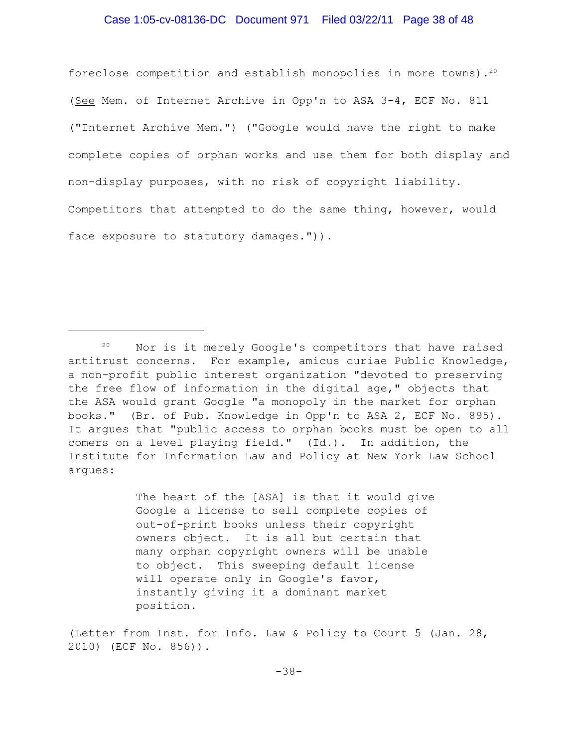### Case 1:05-cv-08136-DC Document 971 Filed 03/22/11 Page 38 of 48

foreclose competition and establish monopolies in more towns). $20$ (See Mem. of Internet Archive in Opp'n to ASA 3-4, ECF No. 811 ("Internet Archive Mem.") ("Google would have the right to make complete copies of orphan works and use them for both display and non-display purposes, with no risk of copyright liability. Competitors that attempted to do the same thing, however, would face exposure to statutory damages.")).

The heart of the [ASA] is that it would give Google a license to sell complete copies of out-of-print books unless their copyright owners object. It is all but certain that many orphan copyright owners will be unable to object. This sweeping default license will operate only in Google's favor, instantly giving it a dominant market position.

(Letter from Inst. for Info. Law & Policy to Court 5 (Jan. 28, 2010) (ECF No. 856)).

 $20$  Nor is it merely Google's competitors that have raised antitrust concerns. For example, amicus curiae Public Knowledge, a non-profit public interest organization "devoted to preserving the free flow of information in the digital age," objects that the ASA would grant Google "a monopoly in the market for orphan books." (Br. of Pub. Knowledge in Opp'n to ASA 2, ECF No. 895). It argues that "public access to orphan books must be open to all comers on a level playing field." (Id.). In addition, the Institute for Information Law and Policy at New York Law School argues: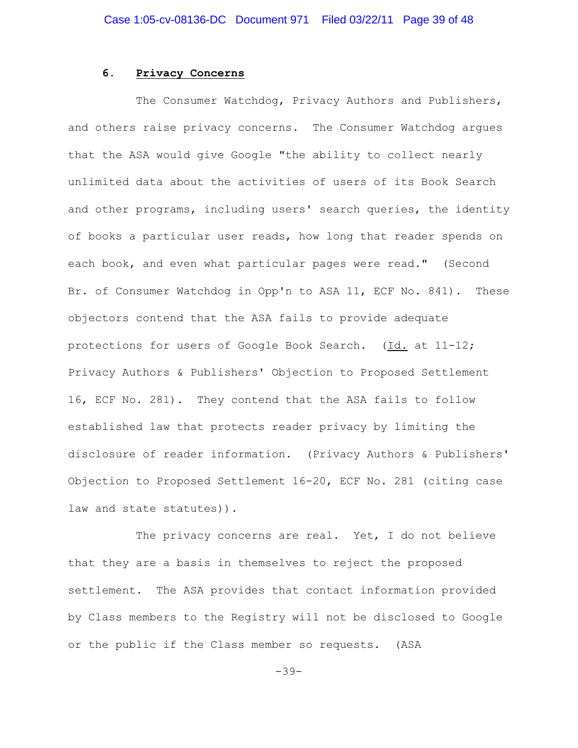### **6. Privacy Concerns**

The Consumer Watchdog, Privacy Authors and Publishers, and others raise privacy concerns. The Consumer Watchdog argues that the ASA would give Google "the ability to collect nearly unlimited data about the activities of users of its Book Search and other programs, including users' search queries, the identity of books a particular user reads, how long that reader spends on each book, and even what particular pages were read." (Second Br. of Consumer Watchdog in Opp'n to ASA 11, ECF No. 841). These objectors contend that the ASA fails to provide adequate protections for users of Google Book Search. (Id. at 11-12; Privacy Authors & Publishers' Objection to Proposed Settlement 16, ECF No. 281). They contend that the ASA fails to follow established law that protects reader privacy by limiting the disclosure of reader information. (Privacy Authors & Publishers' Objection to Proposed Settlement 16-20, ECF No. 281 (citing case law and state statutes)).

The privacy concerns are real. Yet, I do not believe that they are a basis in themselves to reject the proposed settlement. The ASA provides that contact information provided by Class members to the Registry will not be disclosed to Google or the public if the Class member so requests. (ASA

-39-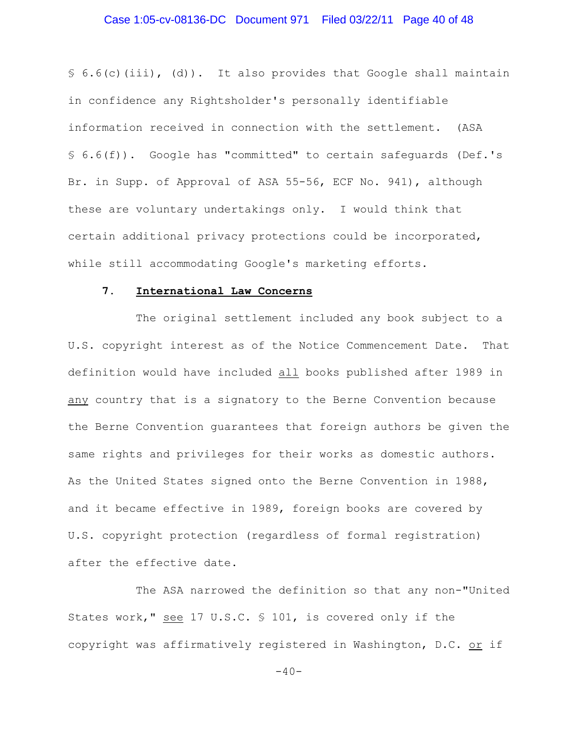# Case 1:05-cv-08136-DC Document 971 Filed 03/22/11 Page 40 of 48

 $\S$  6.6(c)(iii), (d)). It also provides that Google shall maintain in confidence any Rightsholder's personally identifiable information received in connection with the settlement. (ASA § 6.6(f)). Google has "committed" to certain safeguards (Def.'s Br. in Supp. of Approval of ASA 55-56, ECF No. 941), although these are voluntary undertakings only. I would think that certain additional privacy protections could be incorporated, while still accommodating Google's marketing efforts.

## **7. International Law Concerns**

The original settlement included any book subject to a U.S. copyright interest as of the Notice Commencement Date. That definition would have included all books published after 1989 in any country that is a signatory to the Berne Convention because the Berne Convention guarantees that foreign authors be given the same rights and privileges for their works as domestic authors. As the United States signed onto the Berne Convention in 1988, and it became effective in 1989, foreign books are covered by U.S. copyright protection (regardless of formal registration) after the effective date.

The ASA narrowed the definition so that any non-"United States work," see 17 U.S.C. § 101, is covered only if the copyright was affirmatively registered in Washington, D.C. or if

 $-40-$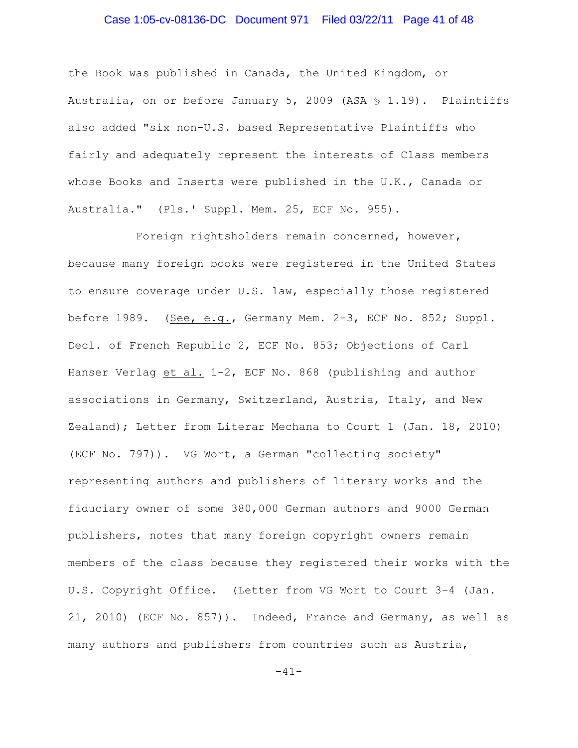# Case 1:05-cv-08136-DC Document 971 Filed 03/22/11 Page 41 of 48

the Book was published in Canada, the United Kingdom, or Australia, on or before January 5, 2009 (ASA § 1.19). Plaintiffs also added "six non-U.S. based Representative Plaintiffs who fairly and adequately represent the interests of Class members whose Books and Inserts were published in the U.K., Canada or Australia." (Pls.' Suppl. Mem. 25, ECF No. 955).

Foreign rightsholders remain concerned, however, because many foreign books were registered in the United States to ensure coverage under U.S. law, especially those registered before 1989. (See, e.g., Germany Mem. 2-3, ECF No. 852; Suppl. Decl. of French Republic 2, ECF No. 853; Objections of Carl Hanser Verlag et al. 1-2, ECF No. 868 (publishing and author associations in Germany, Switzerland, Austria, Italy, and New Zealand); Letter from Literar Mechana to Court 1 (Jan. 18, 2010) (ECF No. 797)). VG Wort, a German "collecting society" representing authors and publishers of literary works and the fiduciary owner of some 380,000 German authors and 9000 German publishers, notes that many foreign copyright owners remain members of the class because they registered their works with the U.S. Copyright Office. (Letter from VG Wort to Court 3-4 (Jan. 21, 2010) (ECF No. 857)). Indeed, France and Germany, as well as many authors and publishers from countries such as Austria,

 $-41-$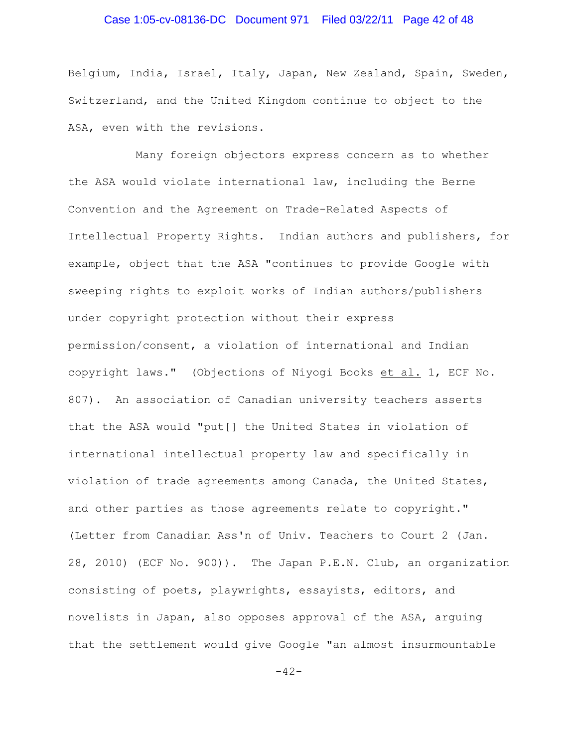# Case 1:05-cv-08136-DC Document 971 Filed 03/22/11 Page 42 of 48

Belgium, India, Israel, Italy, Japan, New Zealand, Spain, Sweden, Switzerland, and the United Kingdom continue to object to the ASA, even with the revisions.

Many foreign objectors express concern as to whether the ASA would violate international law, including the Berne Convention and the Agreement on Trade-Related Aspects of Intellectual Property Rights. Indian authors and publishers, for example, object that the ASA "continues to provide Google with sweeping rights to exploit works of Indian authors/publishers under copyright protection without their express permission/consent, a violation of international and Indian copyright laws." (Objections of Niyogi Books et al. 1, ECF No. 807). An association of Canadian university teachers asserts that the ASA would "put[] the United States in violation of international intellectual property law and specifically in violation of trade agreements among Canada, the United States, and other parties as those agreements relate to copyright." (Letter from Canadian Ass'n of Univ. Teachers to Court 2 (Jan. 28, 2010) (ECF No. 900)). The Japan P.E.N. Club, an organization consisting of poets, playwrights, essayists, editors, and novelists in Japan, also opposes approval of the ASA, arguing that the settlement would give Google "an almost insurmountable

 $-42-$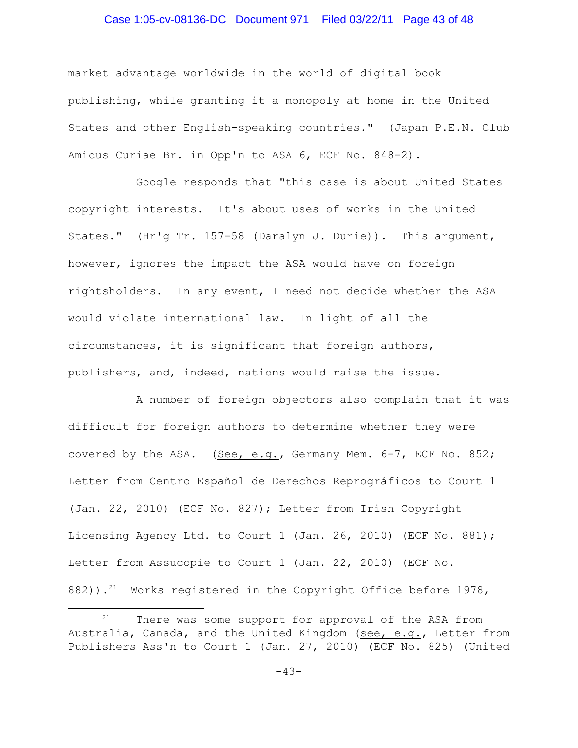# Case 1:05-cv-08136-DC Document 971 Filed 03/22/11 Page 43 of 48

market advantage worldwide in the world of digital book publishing, while granting it a monopoly at home in the United States and other English-speaking countries." (Japan P.E.N. Club Amicus Curiae Br. in Opp'n to ASA 6, ECF No. 848-2).

Google responds that "this case is about United States copyright interests. It's about uses of works in the United States." (Hr'g Tr. 157-58 (Daralyn J. Durie)). This argument, however, ignores the impact the ASA would have on foreign rightsholders. In any event, I need not decide whether the ASA would violate international law. In light of all the circumstances, it is significant that foreign authors, publishers, and, indeed, nations would raise the issue.

 A number of foreign objectors also complain that it was difficult for foreign authors to determine whether they were covered by the ASA. (See, e.g., Germany Mem. 6-7, ECF No. 852; Letter from Centro Español de Derechos Reprográficos to Court 1 (Jan. 22, 2010) (ECF No. 827); Letter from Irish Copyright Licensing Agency Ltd. to Court 1 (Jan. 26, 2010) (ECF No. 881); Letter from Assucopie to Court 1 (Jan. 22, 2010) (ECF No. 882)).<sup>21</sup> Works registered in the Copyright Office before 1978,

 $21$  There was some support for approval of the ASA from Australia, Canada, and the United Kingdom (see, e.g., Letter from Publishers Ass'n to Court 1 (Jan. 27, 2010) (ECF No. 825) (United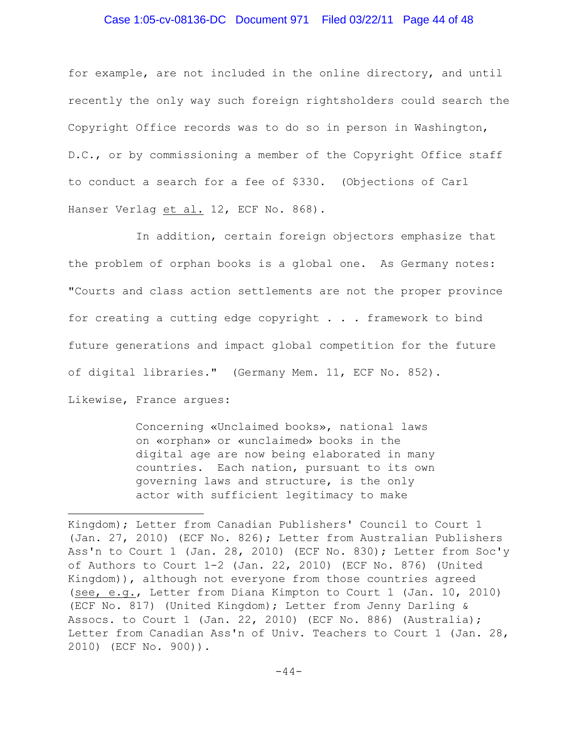### Case 1:05-cv-08136-DC Document 971 Filed 03/22/11 Page 44 of 48

for example, are not included in the online directory, and until recently the only way such foreign rightsholders could search the Copyright Office records was to do so in person in Washington, D.C., or by commissioning a member of the Copyright Office staff to conduct a search for a fee of \$330. (Objections of Carl Hanser Verlag et al. 12, ECF No. 868).

In addition, certain foreign objectors emphasize that the problem of orphan books is a global one. As Germany notes: "Courts and class action settlements are not the proper province for creating a cutting edge copyright . . . framework to bind future generations and impact global competition for the future of digital libraries." (Germany Mem. 11, ECF No. 852). Likewise, France argues:

> Concerning «Unclaimed books», national laws on «orphan» or «unclaimed» books in the digital age are now being elaborated in many countries. Each nation, pursuant to its own governing laws and structure, is the only actor with sufficient legitimacy to make

Kingdom); Letter from Canadian Publishers' Council to Court 1 (Jan. 27, 2010) (ECF No. 826); Letter from Australian Publishers Ass'n to Court 1 (Jan. 28, 2010) (ECF No. 830); Letter from Soc'y of Authors to Court 1-2 (Jan. 22, 2010) (ECF No. 876) (United Kingdom)), although not everyone from those countries agreed (see, e.g., Letter from Diana Kimpton to Court 1 (Jan. 10, 2010) (ECF No. 817) (United Kingdom); Letter from Jenny Darling & Assocs. to Court 1 (Jan. 22, 2010) (ECF No. 886) (Australia); Letter from Canadian Ass'n of Univ. Teachers to Court 1 (Jan. 28, 2010) (ECF No. 900)).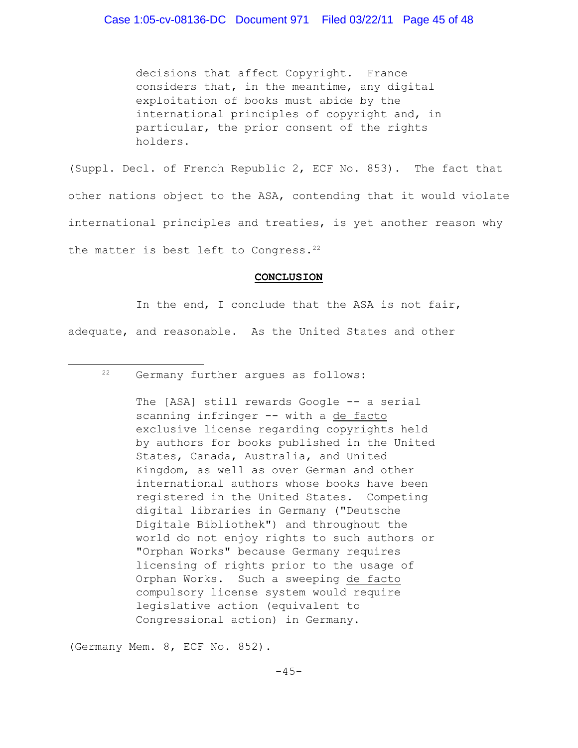decisions that affect Copyright. France considers that, in the meantime, any digital exploitation of books must abide by the international principles of copyright and, in particular, the prior consent of the rights holders.

(Suppl. Decl. of French Republic 2, ECF No. 853). The fact that other nations object to the ASA, contending that it would violate international principles and treaties, is yet another reason why the matter is best left to Congress.<sup>22</sup>

#### **CONCLUSION**

In the end, I conclude that the ASA is not fair, adequate, and reasonable. As the United States and other

<sup>22</sup> Germany further arques as follows:

The [ASA] still rewards Google -- a serial scanning infringer -- with a de facto exclusive license regarding copyrights held by authors for books published in the United States, Canada, Australia, and United Kingdom, as well as over German and other international authors whose books have been registered in the United States. Competing digital libraries in Germany ("Deutsche Digitale Bibliothek") and throughout the world do not enjoy rights to such authors or "Orphan Works" because Germany requires licensing of rights prior to the usage of Orphan Works. Such a sweeping de facto compulsory license system would require legislative action (equivalent to Congressional action) in Germany.

(Germany Mem. 8, ECF No. 852).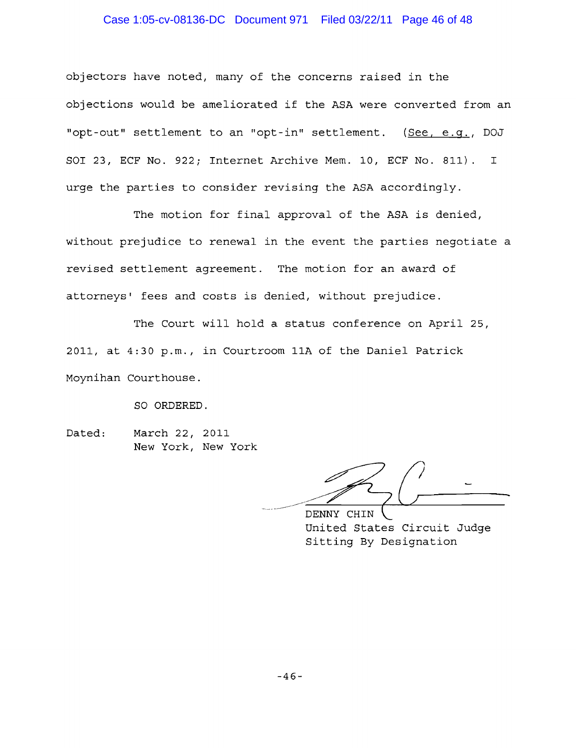# Case 1:05-cv-08136-DC Document 971 Filed 03/22/11 Page 46 of 48

objectors have noted, many of the concerns raised in the objections would be ameliorated if the ASA were converted from an "opt-out" settlement to an "opt-in" settlement. (See, e.q., DOJ SO1 23, ECF No. 922; Internet Archive Mem. 10, ECF No. 811). I urge the parties to consider revising the ASA accordingly.

The motion for final approval of the ASA is denied, without prejudice to renewal in the event the parties negotiate a revised settlement agreement. The motion for an award of attorneys' fees and costs is denied, without prejudice. approval of the ASA is denied,<br>1 the event the parties negotiate a<br>The motion for an award of<br>The metal, without prejudice.<br>2 status conference on April 25,<br>2 mm 11A of the Daniel Patrick<br>11A of the Daniel Patrick<br>11A of t

The Court will hold a status conference on April 25, 2011, at 4:30 p.m., in Courtroom 11A of the Daniel Patrick Moynihan Courthouse.

SO ORDERED.

Dated: March 22, 2011 New York, New York

Sitting By Designation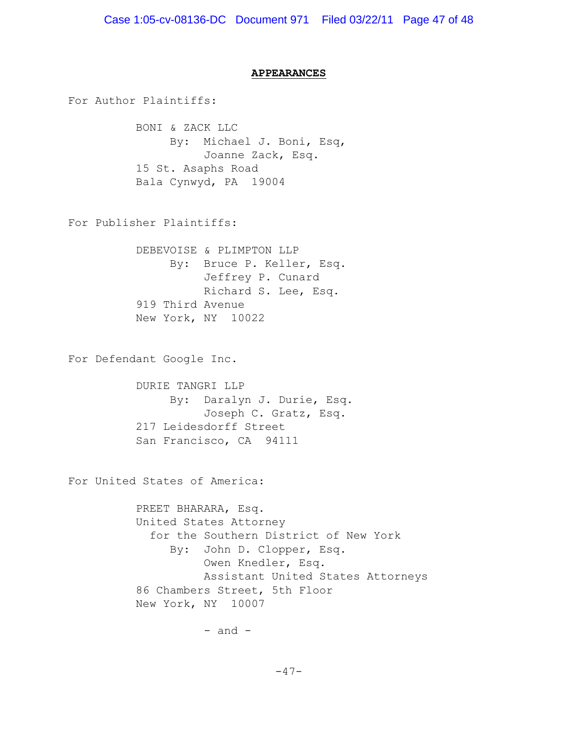### **APPEARANCES**

For Author Plaintiffs:

BONI & ZACK LLC By: Michael J. Boni, Esq, Joanne Zack, Esq. 15 St. Asaphs Road Bala Cynwyd, PA 19004

For Publisher Plaintiffs:

DEBEVOISE & PLIMPTON LLP By: Bruce P. Keller, Esq. Jeffrey P. Cunard Richard S. Lee, Esq. 919 Third Avenue New York, NY 10022

For Defendant Google Inc.

DURIE TANGRI LLP By: Daralyn J. Durie, Esq. Joseph C. Gratz, Esq. 217 Leidesdorff Street San Francisco, CA 94111

For United States of America:

PREET BHARARA, Esq. United States Attorney for the Southern District of New York By: John D. Clopper, Esq. Owen Knedler, Esq. Assistant United States Attorneys 86 Chambers Street, 5th Floor New York, NY 10007

 $-$  and  $-$